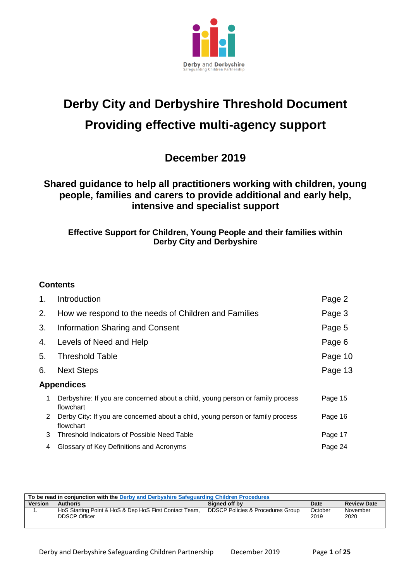

# **Derby City and Derbyshire Threshold Document Providing effective multi-agency support**

# **December 2019**

# **Shared guidance to help all practitioners working with children, young people, families and carers to provide additional and early help, intensive and specialist support**

# **Effective Support for Children, Young People and their families within Derby City and Derbyshire**

# **Contents**

| 1. | Introduction                                                                                | Page 2  |  |  |
|----|---------------------------------------------------------------------------------------------|---------|--|--|
| 2. | How we respond to the needs of Children and Families                                        | Page 3  |  |  |
| 3. | Information Sharing and Consent                                                             | Page 5  |  |  |
| 4. | Levels of Need and Help                                                                     | Page 6  |  |  |
| 5. | <b>Threshold Table</b>                                                                      | Page 10 |  |  |
| 6. | <b>Next Steps</b>                                                                           |         |  |  |
|    | <b>Appendices</b>                                                                           |         |  |  |
| 1  | Derbyshire: If you are concerned about a child, young person or family process<br>flowchart | Page 15 |  |  |
| 2  | Derby City: If you are concerned about a child, young person or family process<br>flowchart | Page 16 |  |  |
| 3  | Threshold Indicators of Possible Need Table                                                 | Page 17 |  |  |
| 4  | Glossary of Key Definitions and Acronyms                                                    | Page 24 |  |  |

| To be read in conjunction with the Derby and Derbyshire Safeguarding Children Procedures |                                                                                |                                   |                 |                    |  |
|------------------------------------------------------------------------------------------|--------------------------------------------------------------------------------|-----------------------------------|-----------------|--------------------|--|
| <b>Version</b>                                                                           | Author/s                                                                       | Signed off by                     | Date            | <b>Review Date</b> |  |
| . .                                                                                      | HoS Starting Point & HoS & Dep HoS First Contact Team,<br><b>DDSCP Officer</b> | DDSCP Policies & Procedures Group | October<br>2019 | November<br>2020   |  |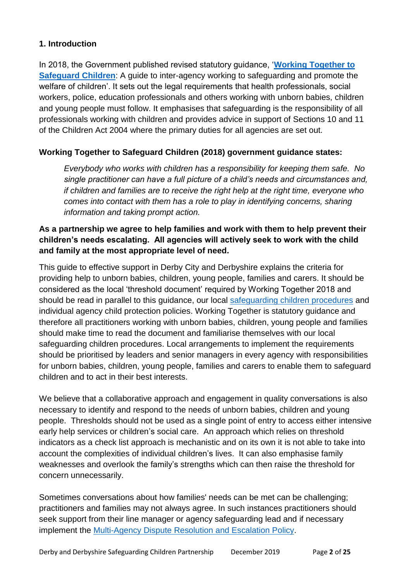# **1. Introduction**

In 2018, the Government published revised statutory guidance, '**[Working Together to](https://www.gov.uk/government/publications/working-together-to-safeguard-children--2)  [Safeguard](https://www.gov.uk/government/publications/working-together-to-safeguard-children--2) Children**: A guide to inter-agency working to safeguarding and promote the welfare of children'. It sets out the legal requirements that health professionals, social workers, police, education professionals and others working with unborn babies, children and young people must follow. It emphasises that safeguarding is the responsibility of all professionals working with children and provides advice in support of Sections 10 and 11 of the Children Act 2004 where the primary duties for all agencies are set out.

# **Working Together to Safeguard Children (2018) government guidance states:**

*Everybody who works with children has a responsibility for keeping them safe. No single practitioner can have a full picture of a child's needs and circumstances and, if children and families are to receive the right help at the right time, everyone who comes into contact with them has a role to play in identifying concerns, sharing information and taking prompt action.*

# **As a partnership we agree to help families and work with them to help prevent their children's needs escalating. All agencies will actively seek to work with the child and family at the most appropriate level of need.**

This guide to effective support in Derby City and Derbyshire explains the criteria for providing help to unborn babies, children, young people, families and carers. It should be considered as the local 'threshold document' required by Working Together 2018 and should be read in parallel to this guidance, our local [safeguarding children procedures](https://derbyshirescbs.proceduresonline.com/index.htm) and individual agency child protection policies. Working Together is statutory guidance and therefore all practitioners working with unborn babies, children, young people and families should make time to read the document and familiarise themselves with our local safeguarding children procedures. Local arrangements to implement the requirements should be prioritised by leaders and senior managers in every agency with responsibilities for unborn babies, children, young people, families and carers to enable them to safeguard children and to act in their best interests.

We believe that a collaborative approach and engagement in quality conversations is also necessary to identify and respond to the needs of unborn babies, children and young people. Thresholds should not be used as a single point of entry to access either intensive early help services or children's social care. An approach which relies on threshold indicators as a check list approach is mechanistic and on its own it is not able to take into account the complexities of individual children's lives. It can also emphasise family weaknesses and overlook the family's strengths which can then raise the threshold for concern unnecessarily.

Sometimes conversations about how families' needs can be met can be challenging; practitioners and families may not always agree. In such instances practitioners should seek support from their line manager or agency safeguarding lead and if necessary implement the [Multi-Agency Dispute Resolution and Escalation Policy.](https://derbyshirescbs.proceduresonline.com/docs_library.html)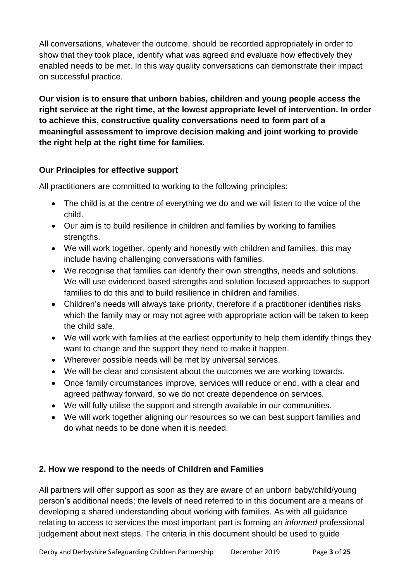All conversations, whatever the outcome, should be recorded appropriately in order to show that they took place, identify what was agreed and evaluate how effectively they enabled needs to be met. In this way quality conversations can demonstrate their impact on successful practice.

**Our vision is to ensure that unborn babies, children and young people access the right service at the right time, at the lowest appropriate level of intervention. In order to achieve this, constructive quality conversations need to form part of a meaningful assessment to improve decision making and joint working to provide the right help at the right time for families.**

# **Our Principles for effective support**

All practitioners are committed to working to the following principles:

- The child is at the centre of everything we do and we will listen to the voice of the child.
- Our aim is to build resilience in children and families by working to families strengths.
- We will work together, openly and honestly with children and families, this may include having challenging conversations with families.
- We recognise that families can identify their own strengths, needs and solutions. We will use evidenced based strengths and solution focused approaches to support families to do this and to build resilience in children and families.
- Children's needs will always take priority, therefore if a practitioner identifies risks which the family may or may not agree with appropriate action will be taken to keep the child safe.
- We will work with families at the earliest opportunity to help them identify things they want to change and the support they need to make it happen.
- Wherever possible needs will be met by universal services.
- We will be clear and consistent about the outcomes we are working towards.
- Once family circumstances improve, services will reduce or end, with a clear and agreed pathway forward, so we do not create dependence on services.
- We will fully utilise the support and strength available in our communities.
- We will work together aligning our resources so we can best support families and do what needs to be done when it is needed.

# **2. How we respond to the needs of Children and Families**

All partners will offer support as soon as they are aware of an unborn baby/child/young person's additional needs; the levels of need referred to in this document are a means of developing a shared understanding about working with families. As with all guidance relating to access to services the most important part is forming an *informed* professional judgement about next steps. The criteria in this document should be used to guide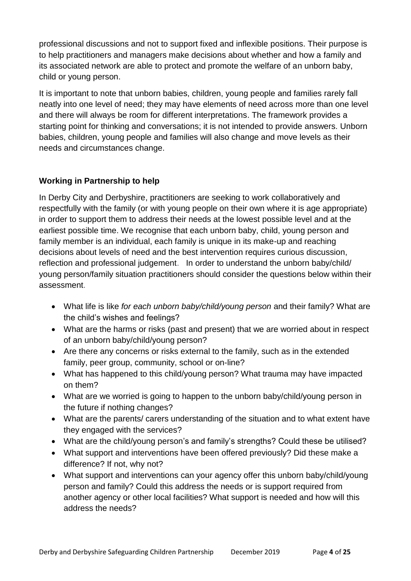professional discussions and not to support fixed and inflexible positions. Their purpose is to help practitioners and managers make decisions about whether and how a family and its associated network are able to protect and promote the welfare of an unborn baby, child or young person.

It is important to note that unborn babies, children, young people and families rarely fall neatly into one level of need; they may have elements of need across more than one level and there will always be room for different interpretations. The framework provides a starting point for thinking and conversations; it is not intended to provide answers. Unborn babies, children, young people and families will also change and move levels as their needs and circumstances change.

# **Working in Partnership to help**

In Derby City and Derbyshire, practitioners are seeking to work collaboratively and respectfully with the family (or with young people on their own where it is age appropriate) in order to support them to address their needs at the lowest possible level and at the earliest possible time. We recognise that each unborn baby, child, young person and family member is an individual, each family is unique in its make-up and reaching decisions about levels of need and the best intervention requires curious discussion, reflection and professional judgement. In order to understand the unborn baby/child/ young person/family situation practitioners should consider the questions below within their assessment.

- What life is like *for each unborn baby/child/young person* and their family? What are the child's wishes and feelings?
- What are the harms or risks (past and present) that we are worried about in respect of an unborn baby/child/young person?
- Are there any concerns or risks external to the family, such as in the extended family, peer group, community, school or on-line?
- What has happened to this child/young person? What trauma may have impacted on them?
- What are we worried is going to happen to the unborn baby/child/young person in the future if nothing changes?
- What are the parents/ carers understanding of the situation and to what extent have they engaged with the services?
- What are the child/young person's and family's strengths? Could these be utilised?
- What support and interventions have been offered previously? Did these make a difference? If not, why not?
- What support and interventions can your agency offer this unborn baby/child/young person and family? Could this address the needs or is support required from another agency or other local facilities? What support is needed and how will this address the needs?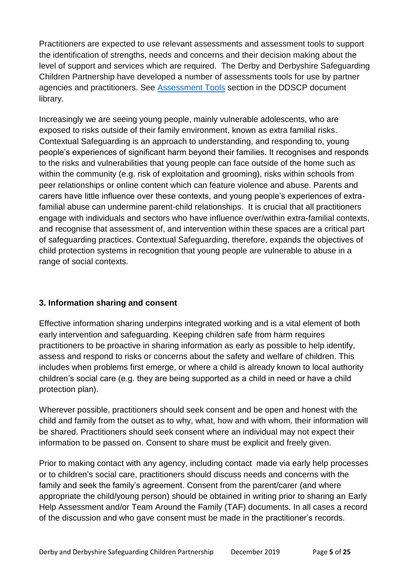Practitioners are expected to use relevant assessments and assessment tools to support the identification of strengths, needs and concerns and their decision making about the level of support and services which are required. The Derby and Derbyshire Safeguarding Children Partnership have developed a number of assessments tools for use by partner agencies and practitioners. See [Assessment Tools](https://derbyshirescbs.proceduresonline.com/docs_library.html#assessment) section in the DDSCP document library.

Increasingly we are seeing young people, mainly vulnerable adolescents, who are exposed to risks outside of their family environment, known as extra familial risks. Contextual Safeguarding is an approach to understanding, and responding to, young people's experiences of significant harm beyond their families. It recognises and responds to the risks and vulnerabilities that young people can face outside of the home such as within the community (e.g. risk of exploitation and grooming), risks within schools from peer relationships or online content which can feature violence and abuse. Parents and carers have little influence over these contexts, and young people's experiences of extrafamilial abuse can undermine parent-child relationships. It is crucial that all practitioners engage with individuals and sectors who have influence over/within extra-familial contexts, and recognise that assessment of, and intervention within these spaces are a critical part of safeguarding practices. Contextual Safeguarding, therefore, expands the objectives of child protection systems in recognition that young people are vulnerable to abuse in a range of social contexts.

# **3. Information sharing and consent**

Effective information sharing underpins integrated working and is a vital element of both early intervention and safeguarding. Keeping children safe from harm requires practitioners to be proactive in sharing information as early as possible to help identify, assess and respond to risks or concerns about the safety and welfare of children. This includes when problems first emerge, or where a child is already known to local authority children's social care (e.g. they are being supported as a child in need or have a child protection plan).

Wherever possible, practitioners should seek consent and be open and honest with the child and family from the outset as to why, what, how and with whom, their information will be shared. Practitioners should seek consent where an individual may not expect their information to be passed on. Consent to share must be explicit and freely given.

Prior to making contact with any agency, including contact made via early help processes or to children's social care, practitioners should discuss needs and concerns with the family and seek the family's agreement. Consent from the parent/carer (and where appropriate the child/young person) should be obtained in writing prior to sharing an Early Help Assessment and/or Team Around the Family (TAF) documents. In all cases a record of the discussion and who gave consent must be made in the practitioner's records.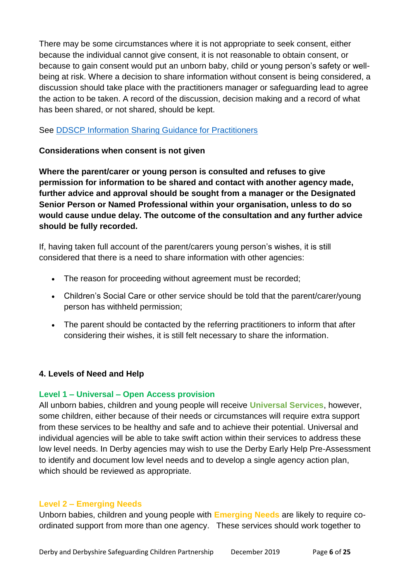There may be some circumstances where it is not appropriate to seek consent, either because the individual cannot give consent, it is not reasonable to obtain consent, or because to gain consent would put an unborn baby, child or young person's safety or wellbeing at risk. Where a decision to share information without consent is being considered, a discussion should take place with the practitioners manager or safeguarding lead to agree the action to be taken. A record of the discussion, decision making and a record of what has been shared, or not shared, should be kept.

# See [DDSCP Information Sharing Guidance for Practitioners](https://derbyshirescbs.proceduresonline.com/docs_library.html)

# **Considerations when consent is not given**

**Where the parent/carer or young person is consulted and refuses to give permission for information to be shared and contact with another agency made, further advice and approval should be sought from a manager or the Designated Senior Person or Named Professional within your organisation, unless to do so would cause undue delay. The outcome of the consultation and any further advice should be fully recorded.**

If, having taken full account of the parent/carers young person's wishes, it is still considered that there is a need to share information with other agencies:

- The reason for proceeding without agreement must be recorded;
- Children's Social Care or other service should be told that the parent/carer/young person has withheld permission;
- The parent should be contacted by the referring practitioners to inform that after considering their wishes, it is still felt necessary to share the information.

# **4. Levels of Need and Help**

# **Level 1 – Universal – Open Access provision**

All unborn babies, children and young people will receive **Universal Services**, however, some children, either because of their needs or circumstances will require extra support from these services to be healthy and safe and to achieve their potential. Universal and individual agencies will be able to take swift action within their services to address these low level needs. In Derby agencies may wish to use the Derby Early Help Pre-Assessment to identify and document low level needs and to develop a single agency action plan, which should be reviewed as appropriate.

# **Level 2 – Emerging Needs**

Unborn babies, children and young people with **Emerging Needs** are likely to require coordinated support from more than one agency. These services should work together to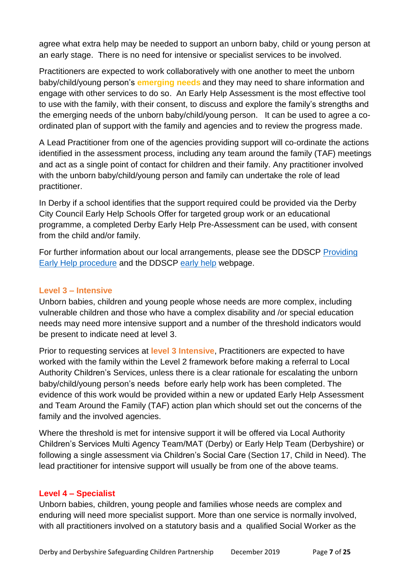agree what extra help may be needed to support an unborn baby, child or young person at an early stage. There is no need for intensive or specialist services to be involved.

Practitioners are expected to work collaboratively with one another to meet the unborn baby/child/young person's **emerging needs** and they may need to share information and engage with other services to do so. An Early Help Assessment is the most effective tool to use with the family, with their consent, to discuss and explore the family's strengths and the emerging needs of the unborn baby/child/young person. It can be used to agree a coordinated plan of support with the family and agencies and to review the progress made.

A Lead Practitioner from one of the agencies providing support will co-ordinate the actions identified in the assessment process, including any team around the family (TAF) meetings and act as a single point of contact for children and their family. Any practitioner involved with the unborn baby/child/young person and family can undertake the role of lead practitioner.

In Derby if a school identifies that the support required could be provided via the Derby City Council Early Help Schools Offer for targeted group work or an educational programme, a completed Derby Early Help Pre-Assessment can be used, with consent from the child and/or family.

For further information about our local arrangements, please see the DDSCP [Providing](https://derbyshirescbs.proceduresonline.com/p_prov_early_help.html)  [Early Help procedure](https://derbyshirescbs.proceduresonline.com/p_prov_early_help.html) and the DDSCP [early help](https://www.ddscp.org.uk/staff-and-volunteers/info-and-resources/early-help/) webpage.

# **Level 3 – Intensive**

Unborn babies, children and young people whose needs are more complex, including vulnerable children and those who have a complex disability and /or special education needs may need more intensive support and a number of the threshold indicators would be present to indicate need at level 3.

Prior to requesting services at **level 3 Intensive**, Practitioners are expected to have worked with the family within the Level 2 framework before making a referral to Local Authority Children's Services, unless there is a clear rationale for escalating the unborn baby/child/young person's needs before early help work has been completed. The evidence of this work would be provided within a new or updated Early Help Assessment and Team Around the Family (TAF) action plan which should set out the concerns of the family and the involved agencies.

Where the threshold is met for intensive support it will be offered via Local Authority Children's Services Multi Agency Team/MAT (Derby) or Early Help Team (Derbyshire) or following a single assessment via Children's Social Care (Section 17, Child in Need). The lead practitioner for intensive support will usually be from one of the above teams.

# **Level 4 – Specialist**

Unborn babies, children, young people and families whose needs are complex and enduring will need more specialist support. More than one service is normally involved, with all practitioners involved on a statutory basis and a qualified Social Worker as the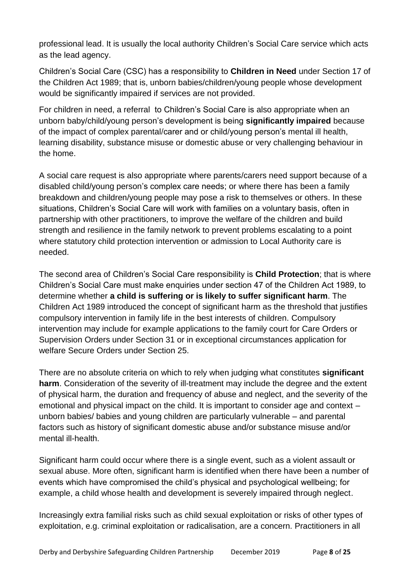professional lead. It is usually the local authority Children's Social Care service which acts as the lead agency.

Children's Social Care (CSC) has a responsibility to **Children in Need** under Section 17 of the Children Act 1989; that is, unborn babies/children/young people whose development would be significantly impaired if services are not provided.

For children in need, a referral to Children's Social Care is also appropriate when an unborn baby/child/young person's development is being **significantly impaired** because of the impact of complex parental/carer and or child/young person's mental ill health, learning disability, substance misuse or domestic abuse or very challenging behaviour in the home.

A social care request is also appropriate where parents/carers need support because of a disabled child/young person's complex care needs; or where there has been a family breakdown and children/young people may pose a risk to themselves or others. In these situations, Children's Social Care will work with families on a voluntary basis, often in partnership with other practitioners, to improve the welfare of the children and build strength and resilience in the family network to prevent problems escalating to a point where statutory child protection intervention or admission to Local Authority care is needed.

The second area of Children's Social Care responsibility is **Child Protection**; that is where Children's Social Care must make enquiries under section 47 of the Children Act 1989, to determine whether **a child is suffering or is likely to suffer significant harm**. The Children Act 1989 introduced the concept of significant harm as the threshold that justifies compulsory intervention in family life in the best interests of children. Compulsory intervention may include for example applications to the family court for Care Orders or Supervision Orders under Section 31 or in exceptional circumstances application for welfare Secure Orders under Section 25.

There are no absolute criteria on which to rely when judging what constitutes **significant harm**. Consideration of the severity of ill-treatment may include the degree and the extent of physical harm, the duration and frequency of abuse and neglect, and the severity of the emotional and physical impact on the child. It is important to consider age and context – unborn babies/ babies and young children are particularly vulnerable – and parental factors such as history of significant domestic abuse and/or substance misuse and/or mental ill-health.

Significant harm could occur where there is a single event, such as a violent assault or sexual abuse. More often, significant harm is identified when there have been a number of events which have compromised the child's physical and psychological wellbeing; for example, a child whose health and development is severely impaired through neglect.

Increasingly extra familial risks such as child sexual exploitation or risks of other types of exploitation, e.g. criminal exploitation or radicalisation, are a concern. Practitioners in all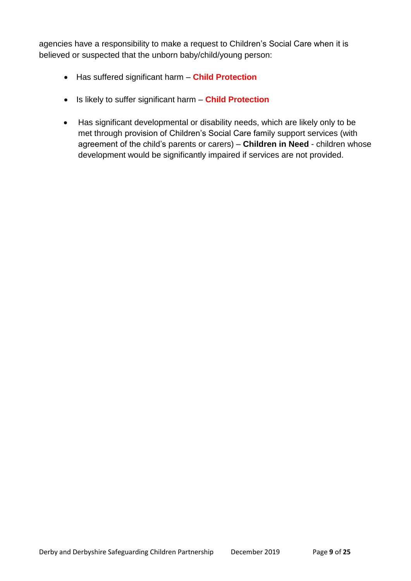agencies have a responsibility to make a request to Children's Social Care when it is believed or suspected that the unborn baby/child/young person:

- Has suffered significant harm **Child Protection**
- Is likely to suffer significant harm **Child Protection**
- Has significant developmental or disability needs, which are likely only to be met through provision of Children's Social Care family support services (with agreement of the child's parents or carers) – **Children in Need** - children whose development would be significantly impaired if services are not provided.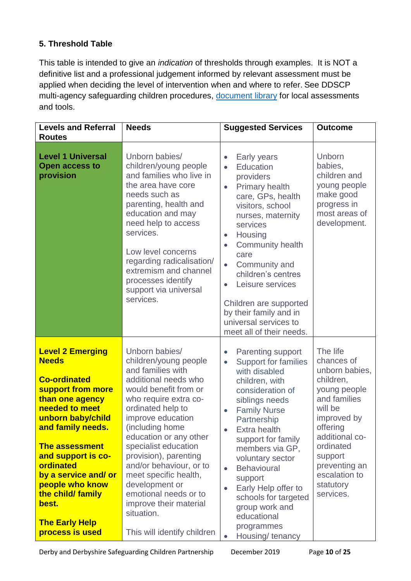# **5. Threshold Table**

This table is intended to give an *indication* of thresholds through examples. It is NOT a definitive list and a professional judgement informed by relevant assessment must be applied when deciding the level of intervention when and where to refer. See DDSCP multi-agency safeguarding children procedures, [document library](https://derbyshirescbs.proceduresonline.com/docs_library.html) for local assessments and tools.

| <b>Levels and Referral</b>                                                                                                                                                                                                                                                                                                                          | <b>Needs</b>                                                                                                                                                                                                                                                                                                                                                                                                                                         | <b>Suggested Services</b>                                                                                                                                                                                                                                                                                                                                                                                                                    | <b>Outcome</b>                                                                                                                                                                                                                    |
|-----------------------------------------------------------------------------------------------------------------------------------------------------------------------------------------------------------------------------------------------------------------------------------------------------------------------------------------------------|------------------------------------------------------------------------------------------------------------------------------------------------------------------------------------------------------------------------------------------------------------------------------------------------------------------------------------------------------------------------------------------------------------------------------------------------------|----------------------------------------------------------------------------------------------------------------------------------------------------------------------------------------------------------------------------------------------------------------------------------------------------------------------------------------------------------------------------------------------------------------------------------------------|-----------------------------------------------------------------------------------------------------------------------------------------------------------------------------------------------------------------------------------|
| <b>Routes</b><br><b>Level 1 Universal</b><br><b>Open access to</b><br>provision                                                                                                                                                                                                                                                                     | Unborn babies/<br>children/young people<br>and families who live in<br>the area have core<br>needs such as<br>parenting, health and<br>education and may<br>need help to access<br>services.<br>Low level concerns<br>regarding radicalisation/<br>extremism and channel<br>processes identify<br>support via universal<br>services.                                                                                                                 | Early years<br>Education<br>$\bullet$<br>providers<br>Primary health<br>$\bullet$<br>care, GPs, health<br>visitors, school<br>nurses, maternity<br>services<br>Housing<br>$\bullet$<br><b>Community health</b><br>care<br>Community and<br>children's centres<br>Leisure services<br>Children are supported<br>by their family and in<br>universal services to<br>meet all of their needs.                                                   | <b>Unborn</b><br>babies,<br>children and<br>young people<br>make good<br>progress in<br>most areas of<br>development.                                                                                                             |
| <b>Level 2 Emerging</b><br><b>Needs</b><br><b>Co-ordinated</b><br>support from more<br>than one agency<br>needed to meet<br>unborn baby/child<br>and family needs.<br><b>The assessment</b><br>and support is co-<br>ordinated<br>by a service and/ or<br>people who know<br>the child/ family<br>best.<br><b>The Early Help</b><br>process is used | Unborn babies/<br>children/young people<br>and families with<br>additional needs who<br>would benefit from or<br>who require extra co-<br>ordinated help to<br>improve education<br>(including home<br>education or any other<br>specialist education<br>provision), parenting<br>and/or behaviour, or to<br>meet specific health,<br>development or<br>emotional needs or to<br>improve their material<br>situation.<br>This will identify children | <b>Parenting support</b><br>$\bullet$<br><b>Support for families</b><br>$\bullet$<br>with disabled<br>children, with<br>consideration of<br>siblings needs<br><b>Family Nurse</b><br>Partnership<br>Extra health<br>support for family<br>members via GP,<br>voluntary sector<br><b>Behavioural</b><br>$\bullet$<br>support<br>Early Help offer to<br>schools for targeted<br>group work and<br>educational<br>programmes<br>Housing/tenancy | The life<br>chances of<br>unborn babies,<br>children,<br>young people<br>and families<br>will be<br>improved by<br>offering<br>additional co-<br>ordinated<br>support<br>preventing an<br>escalation to<br>statutory<br>services. |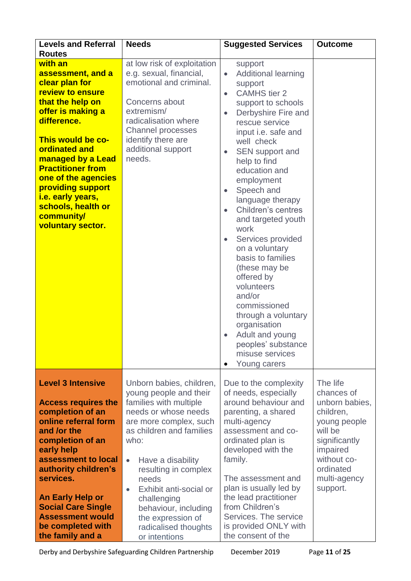| <b>Levels and Referral</b><br><b>Routes</b>                                                                                                                                                                                                                                                                                                        | <b>Needs</b>                                                                                                                                                                                                                                                                                                                                                                      | <b>Suggested Services</b>                                                                                                                                                                                                                                                                                                                                                                                                                                                                                                                                                                                                                                         | <b>Outcome</b>                                                                                                                                                        |
|----------------------------------------------------------------------------------------------------------------------------------------------------------------------------------------------------------------------------------------------------------------------------------------------------------------------------------------------------|-----------------------------------------------------------------------------------------------------------------------------------------------------------------------------------------------------------------------------------------------------------------------------------------------------------------------------------------------------------------------------------|-------------------------------------------------------------------------------------------------------------------------------------------------------------------------------------------------------------------------------------------------------------------------------------------------------------------------------------------------------------------------------------------------------------------------------------------------------------------------------------------------------------------------------------------------------------------------------------------------------------------------------------------------------------------|-----------------------------------------------------------------------------------------------------------------------------------------------------------------------|
| with an<br>assessment, and a<br>clear plan for<br>review to ensure<br>that the help on<br>offer is making a<br>difference.<br>This would be co-<br><b>ordinated and</b><br>managed by a Lead<br><b>Practitioner from</b><br>one of the agencies<br>providing support<br>i.e. early years,<br>schools, health or<br>community/<br>voluntary sector. | at low risk of exploitation<br>e.g. sexual, financial,<br>emotional and criminal.<br>Concerns about<br>extremism/<br>radicalisation where<br>Channel processes<br>identify there are<br>additional support<br>needs.                                                                                                                                                              | support<br><b>Additional learning</b><br>$\bullet$<br>support<br><b>CAMHS</b> tier 2<br>$\bullet$<br>support to schools<br>Derbyshire Fire and<br>$\bullet$<br>rescue service<br>input i.e. safe and<br>well check<br><b>SEN</b> support and<br>$\bullet$<br>help to find<br>education and<br>employment<br>Speech and<br>language therapy<br>Children's centres<br>$\bullet$<br>and targeted youth<br>work<br>Services provided<br>on a voluntary<br>basis to families<br>(these may be<br>offered by<br>volunteers<br>and/or<br>commissioned<br>through a voluntary<br>organisation<br>Adult and young<br>peoples' substance<br>misuse services<br>Young carers |                                                                                                                                                                       |
| <b>Level 3 Intensive</b><br><b>Access requires the</b><br>completion of an<br>online referral form<br>and /or the<br>completion of an<br>early help<br>assessment to local<br>authority children's<br>services.<br><b>An Early Help or</b><br><b>Social Care Single</b><br><b>Assessment would</b><br>be completed with<br>the family and a        | Unborn babies, children,<br>young people and their<br>families with multiple<br>needs or whose needs<br>are more complex, such<br>as children and families<br>who:<br>Have a disability<br>$\bullet$<br>resulting in complex<br>needs<br>Exhibit anti-social or<br>$\bullet$<br>challenging<br>behaviour, including<br>the expression of<br>radicalised thoughts<br>or intentions | Due to the complexity<br>of needs, especially<br>around behaviour and<br>parenting, a shared<br>multi-agency<br>assessment and co-<br>ordinated plan is<br>developed with the<br>family.<br>The assessment and<br>plan is usually led by<br>the lead practitioner<br>from Children's<br>Services. The service<br>is provided ONLY with<br>the consent of the                                                                                                                                                                                                                                                                                                      | The life<br>chances of<br>unborn babies,<br>children,<br>young people<br>will be<br>significantly<br>impaired<br>without co-<br>ordinated<br>multi-agency<br>support. |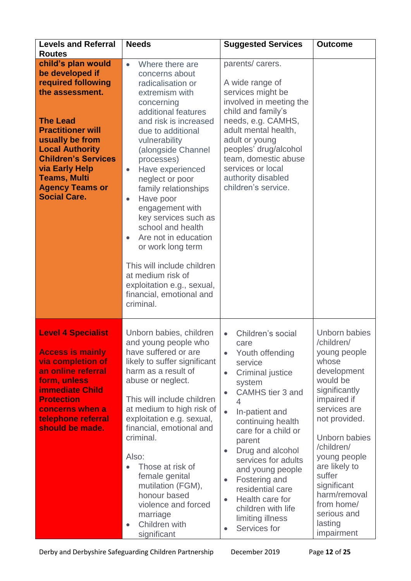| <b>Levels and Referral</b><br><b>Routes</b>                                                                                                                                                                                                                                                               | <b>Needs</b><br><b>Suggested Services</b>                                                                                                                                                                                                                                                                                                                                                                                                                                                                                                                                               |                                                                                                                                                                                                                                                                                                                                                                                                                                                                                        | <b>Outcome</b>                                                                                                                                                                                                                                                                                                  |
|-----------------------------------------------------------------------------------------------------------------------------------------------------------------------------------------------------------------------------------------------------------------------------------------------------------|-----------------------------------------------------------------------------------------------------------------------------------------------------------------------------------------------------------------------------------------------------------------------------------------------------------------------------------------------------------------------------------------------------------------------------------------------------------------------------------------------------------------------------------------------------------------------------------------|----------------------------------------------------------------------------------------------------------------------------------------------------------------------------------------------------------------------------------------------------------------------------------------------------------------------------------------------------------------------------------------------------------------------------------------------------------------------------------------|-----------------------------------------------------------------------------------------------------------------------------------------------------------------------------------------------------------------------------------------------------------------------------------------------------------------|
| child's plan would<br>be developed if<br>required following<br>the assessment.<br><b>The Lead</b><br><b>Practitioner will</b><br>usually be from<br><b>Local Authority</b><br><b>Children's Services</b><br><b>via Early Help</b><br><b>Teams, Multi</b><br><b>Agency Teams or</b><br><b>Social Care.</b> | Where there are<br>$\bullet$<br>concerns about<br>radicalisation or<br>extremism with<br>concerning<br>additional features<br>and risk is increased<br>due to additional<br>vulnerability<br>(alongside Channel<br>processes)<br>Have experienced<br>$\bullet$<br>neglect or poor<br>family relationships<br>Have poor<br>$\bullet$<br>engagement with<br>key services such as<br>school and health<br>Are not in education<br>$\bullet$<br>or work long term<br>This will include children<br>at medium risk of<br>exploitation e.g., sexual,<br>financial, emotional and<br>criminal. | parents/carers.<br>A wide range of<br>services might be<br>involved in meeting the<br>child and family's<br>needs, e.g. CAMHS,<br>adult mental health,<br>adult or young<br>peoples' drug/alcohol<br>team, domestic abuse<br>services or local<br>authority disabled<br>children's service.                                                                                                                                                                                            |                                                                                                                                                                                                                                                                                                                 |
| <b>Level 4 Specialist</b><br><b>Access is mainly</b><br>via completion of<br>an online referral<br>form, unless<br><b>immediate Child</b><br><b>Protection</b><br>concerns when a<br>telephone referral<br>should be made.                                                                                | Unborn babies, children<br>and young people who<br>have suffered or are<br>likely to suffer significant<br>harm as a result of<br>abuse or neglect.<br>This will include children<br>at medium to high risk of<br>exploitation e.g. sexual,<br>financial, emotional and<br>criminal.<br>Also:<br>Those at risk of<br>$\bullet$<br>female genital<br>mutilation (FGM),<br>honour based<br>violence and forced<br>marriage<br>Children with<br>$\bullet$<br>significant                                                                                                                   | Children's social<br>$\bullet$<br>care<br>Youth offending<br>$\bullet$<br>service<br><b>Criminal justice</b><br>$\bullet$<br>system<br>CAMHS tier 3 and<br>4<br>$\bullet$<br>In-patient and<br>continuing health<br>care for a child or<br>parent<br>Drug and alcohol<br>$\bullet$<br>services for adults<br>and young people<br>Fostering and<br>$\bullet$<br>residential care<br>Health care for<br>$\bullet$<br>children with life<br>limiting illness<br>Services for<br>$\bullet$ | Unborn babies<br>/children/<br>young people<br>whose<br>development<br>would be<br>significantly<br>impaired if<br>services are<br>not provided.<br>Unborn babies<br>/children/<br>young people<br>are likely to<br>suffer<br>significant<br>harm/removal<br>from home/<br>serious and<br>lasting<br>impairment |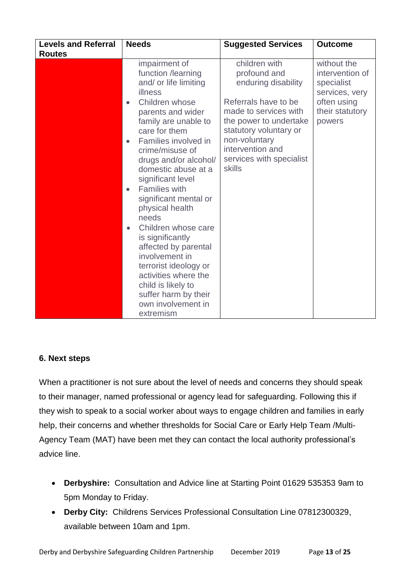| <b>Levels and Referral</b><br><b>Routes</b> | <b>Needs</b>                                                                                                                                                                                                                                                                                                                                                                                                                                                                                                                                                                                                                    | <b>Suggested Services</b>                                                                                                                                                                                                            | <b>Outcome</b>                                                                                             |  |
|---------------------------------------------|---------------------------------------------------------------------------------------------------------------------------------------------------------------------------------------------------------------------------------------------------------------------------------------------------------------------------------------------------------------------------------------------------------------------------------------------------------------------------------------------------------------------------------------------------------------------------------------------------------------------------------|--------------------------------------------------------------------------------------------------------------------------------------------------------------------------------------------------------------------------------------|------------------------------------------------------------------------------------------------------------|--|
|                                             | impairment of<br>function /learning<br>and/ or life limiting<br>illness<br>Children whose<br>$\bullet$<br>parents and wider<br>family are unable to<br>care for them<br>Families involved in<br>$\bullet$<br>crime/misuse of<br>drugs and/or alcohol/<br>domestic abuse at a<br>significant level<br><b>Families with</b><br>$\bullet$<br>significant mental or<br>physical health<br>needs<br>Children whose care<br>$\bullet$<br>is significantly<br>affected by parental<br>involvement in<br>terrorist ideology or<br>activities where the<br>child is likely to<br>suffer harm by their<br>own involvement in<br>extremism | children with<br>profound and<br>enduring disability<br>Referrals have to be<br>made to services with<br>the power to undertake<br>statutory voluntary or<br>non-voluntary<br>intervention and<br>services with specialist<br>skills | without the<br>intervention of<br>specialist<br>services, very<br>often using<br>their statutory<br>powers |  |

# **6. Next steps**

When a practitioner is not sure about the level of needs and concerns they should speak to their manager, named professional or agency lead for safeguarding. Following this if they wish to speak to a social worker about ways to engage children and families in early help, their concerns and whether thresholds for Social Care or Early Help Team /Multi-Agency Team (MAT) have been met they can contact the local authority professional's advice line.

- **Derbyshire:** Consultation and Advice line at Starting Point 01629 535353 9am to 5pm Monday to Friday.
- **Derby City:** Childrens Services Professional Consultation Line 07812300329, available between 10am and 1pm.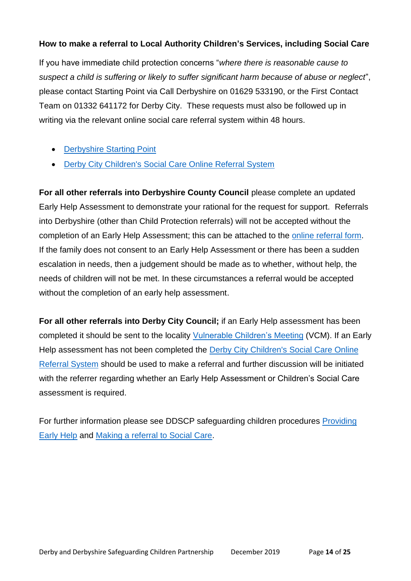# **How to make a referral to Local Authority Children's Services, including Social Care**

If you have immediate child protection concerns "*where there is reasonable cause to suspect a child is suffering or likely to suffer significant harm because of abuse or neglect*", please contact Starting Point via Call Derbyshire on 01629 533190, or the First Contact Team on 01332 641172 for Derby City. These requests must also be followed up in writing via the relevant online social care referral system within 48 hours.

- [Derbyshire Starting Point](https://www.derbyshire.gov.uk/social-health/children-and-families/support-for-families/starting-point-referral-form/starting-point-request-for-support-form.aspx)
- [Derby City Children's Social Care Online Referral System](https://myaccount.derby.gov.uk/en/service/report_concerns_about_a_child)

**For all other referrals into Derbyshire County Council** please complete an updated Early Help Assessment to demonstrate your rational for the request for support. Referrals into Derbyshire (other than Child Protection referrals) will not be accepted without the completion of an Early Help Assessment; this can be attached to the [online referral form.](https://www.derbyshire.gov.uk/social-health/children-and-families/support-for-families/starting-point-referral-form/starting-point-request-for-support-form.aspx) If the family does not consent to an Early Help Assessment or there has been a sudden escalation in needs, then a judgement should be made as to whether, without help, the needs of children will not be met. In these circumstances a referral would be accepted without the completion of an early help assessment.

**For all other referrals into Derby City Council;** if an Early Help assessment has been completed it should be sent to the locality [Vulnerable Children's Meeting](https://derbyshirescbs.proceduresonline.com/contacts.html) (VCM). If an Early Help assessment has not been completed the Derby City Children's Social Care Online [Referral System](https://myaccount.derby.gov.uk/en/service/report_concerns_about_a_child) should be used to make a referral and further discussion will be initiated with the referrer regarding whether an Early Help Assessment or Children's Social Care assessment is required.

For further information please see DDSCP safeguarding children procedures [Providing](https://derbyshirescbs.proceduresonline.com/p_prov_early_help.html)  [Early Help](https://derbyshirescbs.proceduresonline.com/p_prov_early_help.html) and [Making a referral to Social Care.](https://derbyshirescbs.proceduresonline.com/p_making_ref_soc_care.html)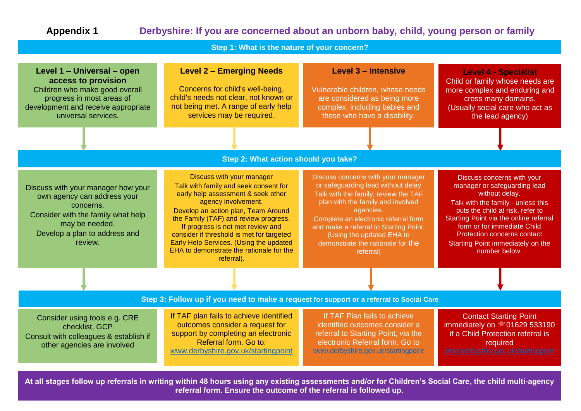# **Appendix 1 Derbyshire: If you are concerned about an unborn baby, child, young person or family**

**Step 1: What is the nature of your concern?** 

| Level 1 - Universal - open<br>access to provision<br>Children who make good overall<br>progress in most areas of<br>development and receive appropriate<br>universal services.     | <b>Level 2 - Emerging Needs</b><br>Concerns for child's well-being,<br>child's needs not clear, not known or<br>not being met. A range of early help<br>services may be required.                                                                                                                                                                                                                      | <b>Level 3 - Intensive</b><br>Vulnerable children, whose needs<br>are considered as being more<br>complex, including babies and<br>those who have a disability.                                                                                                                                                                     | <b>Level 4 - Specialist</b><br>Child or family whose needs are<br>more complex and enduring and<br>cross many domains.<br>(Usually social care who act as<br>the lead agency)                                                                                                                                               |
|------------------------------------------------------------------------------------------------------------------------------------------------------------------------------------|--------------------------------------------------------------------------------------------------------------------------------------------------------------------------------------------------------------------------------------------------------------------------------------------------------------------------------------------------------------------------------------------------------|-------------------------------------------------------------------------------------------------------------------------------------------------------------------------------------------------------------------------------------------------------------------------------------------------------------------------------------|-----------------------------------------------------------------------------------------------------------------------------------------------------------------------------------------------------------------------------------------------------------------------------------------------------------------------------|
|                                                                                                                                                                                    |                                                                                                                                                                                                                                                                                                                                                                                                        |                                                                                                                                                                                                                                                                                                                                     |                                                                                                                                                                                                                                                                                                                             |
|                                                                                                                                                                                    | Step 2: What action should you take?                                                                                                                                                                                                                                                                                                                                                                   |                                                                                                                                                                                                                                                                                                                                     |                                                                                                                                                                                                                                                                                                                             |
| Discuss with your manager how your<br>own agency can address your<br>concerns.<br>Consider with the family what help<br>may be needed.<br>Develop a plan to address and<br>review. | Discuss with your manager<br>Talk with family and seek consent for<br>early help assessment & seek other<br>agency involvement.<br>Develop an action plan, Team Around<br>the Family (TAF) and review progress.<br>If progress is not met review and<br>consider if threshold is met for targeted<br>Early Help Services. (Using the updated<br>EHA to demonstrate the rationale for the<br>referral). | Discuss concerns with your manager<br>or safeguarding lead without delay<br>Talk with the family, review the TAF<br>plan with the family and involved<br>agencies.<br>Complete an electronic referral form<br>and make a referral to Starting Point.<br>(Using the updated EHA to<br>demonstrate the rationale for the<br>referral) | Discuss concerns with your<br>manager or safeguarding lead<br>without delay.<br>Talk with the family - unless this<br>puts the child at risk, refer to<br>Starting Point via the online referral<br>form or for immediate Child<br><b>Protection concerns contact</b><br>Starting Point immediately on the<br>number below. |
|                                                                                                                                                                                    |                                                                                                                                                                                                                                                                                                                                                                                                        |                                                                                                                                                                                                                                                                                                                                     |                                                                                                                                                                                                                                                                                                                             |
|                                                                                                                                                                                    | Step 3: Follow up if you need to make a request for support or a referral to Social Care                                                                                                                                                                                                                                                                                                               |                                                                                                                                                                                                                                                                                                                                     |                                                                                                                                                                                                                                                                                                                             |
| Consider using tools e.g. CRE<br>checklist, GCP<br>Consult with colleagues & establish if<br>other agencies are involved                                                           | If TAF plan fails to achieve identified<br>outcomes consider a request for<br>support by completing an electronic<br>Referral form. Go to:<br>www.derbyshire.gov.uk/startingpoint                                                                                                                                                                                                                      | If TAF Plan fails to achieve<br>identified outcomes consider a<br>referral to Starting Point, via the<br>electronic Referral form. Go to<br>www.derbyshire.gov.uk/startingpoint                                                                                                                                                     | <b>Contact Starting Point</b><br>immediately on 201629 533190<br>if a Child Protection referral is<br>required<br>www.derbyshire.gov.uk/startingpoint                                                                                                                                                                       |
|                                                                                                                                                                                    | At all stages follow up referrals in writing within 48 hours using any existing assessments and/or for Children's Social Care, the child multi-agency<br>referral form. Ensure the outcome of the referral is followed up.                                                                                                                                                                             |                                                                                                                                                                                                                                                                                                                                     |                                                                                                                                                                                                                                                                                                                             |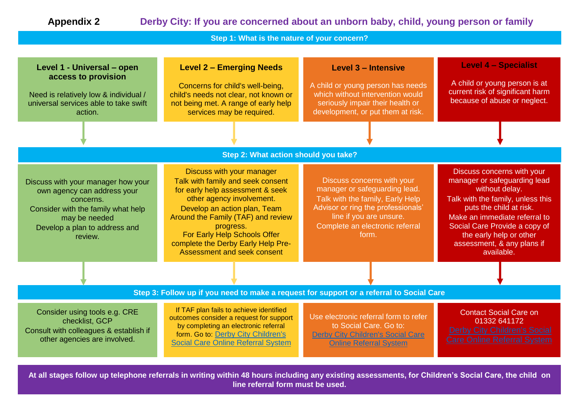# **Appendix 2 Derby City: If you are concerned about an unborn baby, child, young person or family**

**Step 1: What is the nature of your concern?** 

| Level 1 - Universal - open<br>access to provision<br>Need is relatively low & individual /<br>universal services able to take swift<br>action.                                    | <b>Level 2 - Emerging Needs</b><br>Concerns for child's well-being,<br>child's needs not clear, not known or<br>not being met. A range of early help<br>services may be required.                                                                                                                                       | Level 3 - Intensive<br>A child or young person has needs<br>which without intervention would<br>seriously impair their health or<br>development, or put them at risk.                                        | <b>Level 4 - Specialist</b><br>A child or young person is at<br>current risk of significant harm<br>because of abuse or neglect.                                                                                                                                                      |
|-----------------------------------------------------------------------------------------------------------------------------------------------------------------------------------|-------------------------------------------------------------------------------------------------------------------------------------------------------------------------------------------------------------------------------------------------------------------------------------------------------------------------|--------------------------------------------------------------------------------------------------------------------------------------------------------------------------------------------------------------|---------------------------------------------------------------------------------------------------------------------------------------------------------------------------------------------------------------------------------------------------------------------------------------|
|                                                                                                                                                                                   |                                                                                                                                                                                                                                                                                                                         |                                                                                                                                                                                                              |                                                                                                                                                                                                                                                                                       |
|                                                                                                                                                                                   | Step 2: What action should you take?                                                                                                                                                                                                                                                                                    |                                                                                                                                                                                                              |                                                                                                                                                                                                                                                                                       |
| Discuss with your manager how your<br>own agency can address your<br>concerns.<br>Consider with the family what help<br>may be needed<br>Develop a plan to address and<br>review. | Discuss with your manager<br>Talk with family and seek consent<br>for early help assessment & seek<br>other agency involvement.<br>Develop an action plan, Team<br>Around the Family (TAF) and review<br>progress.<br>For Early Help Schools Offer<br>complete the Derby Early Help Pre-<br>Assessment and seek consent | Discuss concerns with your<br>manager or safeguarding lead.<br>Talk with the family, Early Help<br>Advisor or ring the professionals'<br>line if you are unsure.<br>Complete an electronic referral<br>form. | Discuss concerns with your<br>manager or safeguarding lead<br>without delay.<br>Talk with the family, unless this<br>puts the child at risk.<br>Make an immediate referral to<br>Social Care Provide a copy of<br>the early help or other<br>assessment, & any plans if<br>available. |
|                                                                                                                                                                                   |                                                                                                                                                                                                                                                                                                                         |                                                                                                                                                                                                              |                                                                                                                                                                                                                                                                                       |
|                                                                                                                                                                                   | Step 3: Follow up if you need to make a request for support or a referral to Social Care                                                                                                                                                                                                                                |                                                                                                                                                                                                              |                                                                                                                                                                                                                                                                                       |
| Consider using tools e.g. CRE<br>checklist, GCP<br>Consult with colleagues & establish if<br>other agencies are involved.                                                         | If TAF plan fails to achieve identified<br>outcomes consider a request for support<br>by completing an electronic referral<br>form. Go to: Derby City Children's<br><b>Social Care Online Referral System</b>                                                                                                           | Use electronic referral form to refer<br>to Social Care. Go to:<br><b>Derby City Children's Social Care</b><br><b>Online Referral System</b>                                                                 | <b>Contact Social Care on</b><br>01332 641172<br><b>Derby City Children's Social</b><br><b>Care Online Referral System</b>                                                                                                                                                            |
|                                                                                                                                                                                   | At all stages follow up telephone referrals in writing within 48 hours including any existing assessments, for Children's Social Care, the child on<br>line referral form must be used.                                                                                                                                 |                                                                                                                                                                                                              |                                                                                                                                                                                                                                                                                       |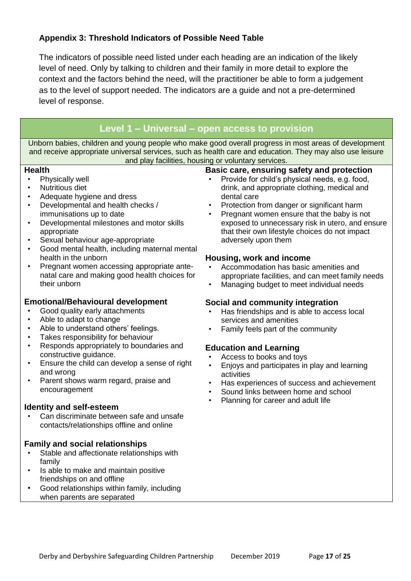# **Appendix 3: Threshold Indicators of Possible Need Table**

The indicators of possible need listed under each heading are an indication of the likely level of need. Only by talking to children and their family in more detail to explore the context and the factors behind the need, will the practitioner be able to form a judgement as to the level of support needed. The indicators are a guide and not a pre-determined level of response.

# **Level 1 – Universal – open access to provision**

Unborn babies, children and young people who make good overall progress in most areas of development and receive appropriate universal services, such as health care and education. They may also use leisure and play facilities, housing or voluntary services.

#### **Health**

- Physically well
- Nutritious diet
- Adequate hygiene and dress
- Developmental and health checks / immunisations up to date
- Developmental milestones and motor skills appropriate
- Sexual behaviour age-appropriate
- Good mental health, including maternal mental health in the unborn
- Pregnant women accessing appropriate antenatal care and making good health choices for their unborn

# **Emotional/Behavioural development**

- Good quality early attachments
- Able to adapt to change
- Able to understand others' feelings.
- Takes responsibility for behaviour
- Responds appropriately to boundaries and constructive guidance.
- Ensure the child can develop a sense of right and wrong
- Parent shows warm regard, praise and encouragement

# **Identity and self-esteem**

• Can discriminate between safe and unsafe contacts/relationships offline and online

# **Family and social relationships**

- Stable and affectionate relationships with family
- Is able to make and maintain positive friendships on and offline
- Good relationships within family, including when parents are separated

# **Basic care, ensuring safety and protection**

- Provide for child's physical needs, e.g. food, drink, and appropriate clothing, medical and dental care
- Protection from danger or significant harm
- Pregnant women ensure that the baby is not exposed to unnecessary risk in utero, and ensure that their own lifestyle choices do not impact adversely upon them

#### **Housing, work and income**

- Accommodation has basic amenities and appropriate facilities, and can meet family needs
- Managing budget to meet individual needs

#### **Social and community integration**

- Has friendships and is able to access local services and amenities
- Family feels part of the community

# **Education and Learning**

- Access to books and toys
- Enjoys and participates in play and learning activities
- Has experiences of success and achievement
- Sound links between home and school
- Planning for career and adult life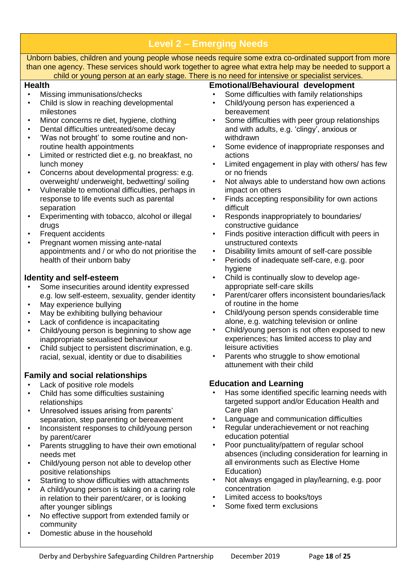| Unborn babies, children and young people whose needs require some extra co-ordinated support from more<br>than one agency. These services should work together to agree what extra help may be needed to support a<br>child or young person at an early stage. There is no need for intensive or specialist services.<br><b>Health</b><br><b>Emotional/Behavioural development</b><br>Some difficulties with family relationships<br>Missing immunisations/checks<br>Child/young person has experienced a<br>Child is slow in reaching developmental<br>milestones<br>bereavement<br>Minor concerns re diet, hygiene, clothing<br>Some difficulties with peer group relationships<br>$\bullet$<br>$\bullet$<br>Dental difficulties untreated/some decay<br>and with adults, e.g. 'clingy', anxious or<br>$\bullet$<br>'Was not brought' to some routine and non-<br>withdrawn<br>$\bullet$<br>routine health appointments<br>Some evidence of inappropriate responses and<br>$\bullet$<br>Limited or restricted diet e.g. no breakfast, no<br>actions<br>$\bullet$<br>Limited engagement in play with others/ has few<br>lunch money<br>$\bullet$<br>Concerns about developmental progress: e.g.<br>or no friends<br>$\bullet$<br>overweight/ underweight, bedwetting/ soiling<br>Not always able to understand how own actions<br>٠<br>Vulnerable to emotional difficulties, perhaps in<br>impact on others<br>$\bullet$<br>Finds accepting responsibility for own actions<br>response to life events such as parental<br>$\bullet$<br>separation<br>difficult<br>Experimenting with tobacco, alcohol or illegal<br>Responds inappropriately to boundaries/<br>$\bullet$<br>constructive guidance<br>drugs<br>Frequent accidents<br>Finds positive interaction difficult with peers in<br>$\bullet$<br>Pregnant women missing ante-natal<br>unstructured contexts<br>$\bullet$<br>appointments and / or who do not prioritise the<br>Disability limits amount of self-care possible<br>$\bullet$<br>health of their unborn baby<br>Periods of inadequate self-care, e.g. poor<br>$\bullet$<br>hygiene<br>Child is continually slow to develop age-<br><b>Identity and self-esteem</b><br>$\bullet$<br>appropriate self-care skills<br>Some insecurities around identity expressed<br>Parent/carer offers inconsistent boundaries/lack<br>e.g. low self-esteem, sexuality, gender identity<br>$\bullet$<br>of routine in the home<br>May experience bullying<br>Child/young person spends considerable time<br>May be exhibiting bullying behaviour<br>$\bullet$<br>alone, e.g. watching television or online<br>Lack of confidence is incapacitating<br>Child/young person is not often exposed to new<br>Child/young person is beginning to show age<br>$\bullet$<br>experiences; has limited access to play and<br>inappropriate sexualised behaviour<br>Child subject to persistent discrimination, e.g.<br>leisure activities<br>Parents who struggle to show emotional<br>racial, sexual, identity or due to disabilities<br>$\bullet$<br>attunement with their child<br><b>Family and social relationships</b><br><b>Education and Learning</b><br>Lack of positive role models<br>Has some identified specific learning needs with<br>Child has some difficulties sustaining<br>targeted support and/or Education Health and<br>relationships<br>Care plan<br>Unresolved issues arising from parents'<br>$\bullet$<br>Language and communication difficulties<br>separation, step parenting or bereavement<br>$\bullet$<br>Regular underachievement or not reaching<br>Inconsistent responses to child/young person<br>$\bullet$<br>$\bullet$<br>education potential<br>by parent/carer<br>Poor punctuality/pattern of regular school<br>Parents struggling to have their own emotional<br>$\bullet$<br>٠<br>absences (including consideration for learning in<br>needs met<br>all environments such as Elective Home<br>Child/young person not able to develop other<br>$\bullet$<br>Education)<br>positive relationships<br>Not always engaged in play/learning, e.g. poor<br>Starting to show difficulties with attachments<br>$\bullet$<br>$\bullet$<br>concentration<br>A child/young person is taking on a caring role<br>$\bullet$<br>Limited access to books/toys<br>in relation to their parent/carer, or is looking<br>$\bullet$<br>Some fixed term exclusions<br>after younger siblings<br>$\bullet$<br>No effective support from extended family or<br>$\bullet$<br>community<br>Domestic abuse in the household | <b>Level 2 - Emerging Needs</b> |  |  |  |  |
|--------------------------------------------------------------------------------------------------------------------------------------------------------------------------------------------------------------------------------------------------------------------------------------------------------------------------------------------------------------------------------------------------------------------------------------------------------------------------------------------------------------------------------------------------------------------------------------------------------------------------------------------------------------------------------------------------------------------------------------------------------------------------------------------------------------------------------------------------------------------------------------------------------------------------------------------------------------------------------------------------------------------------------------------------------------------------------------------------------------------------------------------------------------------------------------------------------------------------------------------------------------------------------------------------------------------------------------------------------------------------------------------------------------------------------------------------------------------------------------------------------------------------------------------------------------------------------------------------------------------------------------------------------------------------------------------------------------------------------------------------------------------------------------------------------------------------------------------------------------------------------------------------------------------------------------------------------------------------------------------------------------------------------------------------------------------------------------------------------------------------------------------------------------------------------------------------------------------------------------------------------------------------------------------------------------------------------------------------------------------------------------------------------------------------------------------------------------------------------------------------------------------------------------------------------------------------------------------------------------------------------------------------------------------------------------------------------------------------------------------------------------------------------------------------------------------------------------------------------------------------------------------------------------------------------------------------------------------------------------------------------------------------------------------------------------------------------------------------------------------------------------------------------------------------------------------------------------------------------------------------------------------------------------------------------------------------------------------------------------------------------------------------------------------------------------------------------------------------------------------------------------------------------------------------------------------------------------------------------------------------------------------------------------------------------------------------------------------------------------------------------------------------------------------------------------------------------------------------------------------------------------------------------------------------------------------------------------------------------------------------------------------------------------------------------------------------------------------------------------------------------------------------------------------------------------------------------------------------------------------------------------------------------------------------------------------------------------------------------------------------------------------------------------------------------------------------------------------------------------------------------------------------------------|---------------------------------|--|--|--|--|
|                                                                                                                                                                                                                                                                                                                                                                                                                                                                                                                                                                                                                                                                                                                                                                                                                                                                                                                                                                                                                                                                                                                                                                                                                                                                                                                                                                                                                                                                                                                                                                                                                                                                                                                                                                                                                                                                                                                                                                                                                                                                                                                                                                                                                                                                                                                                                                                                                                                                                                                                                                                                                                                                                                                                                                                                                                                                                                                                                                                                                                                                                                                                                                                                                                                                                                                                                                                                                                                                                                                                                                                                                                                                                                                                                                                                                                                                                                                                                                                                                                                                                                                                                                                                                                                                                                                                                                                                                                                                                                                                      |                                 |  |  |  |  |
|                                                                                                                                                                                                                                                                                                                                                                                                                                                                                                                                                                                                                                                                                                                                                                                                                                                                                                                                                                                                                                                                                                                                                                                                                                                                                                                                                                                                                                                                                                                                                                                                                                                                                                                                                                                                                                                                                                                                                                                                                                                                                                                                                                                                                                                                                                                                                                                                                                                                                                                                                                                                                                                                                                                                                                                                                                                                                                                                                                                                                                                                                                                                                                                                                                                                                                                                                                                                                                                                                                                                                                                                                                                                                                                                                                                                                                                                                                                                                                                                                                                                                                                                                                                                                                                                                                                                                                                                                                                                                                                                      |                                 |  |  |  |  |
|                                                                                                                                                                                                                                                                                                                                                                                                                                                                                                                                                                                                                                                                                                                                                                                                                                                                                                                                                                                                                                                                                                                                                                                                                                                                                                                                                                                                                                                                                                                                                                                                                                                                                                                                                                                                                                                                                                                                                                                                                                                                                                                                                                                                                                                                                                                                                                                                                                                                                                                                                                                                                                                                                                                                                                                                                                                                                                                                                                                                                                                                                                                                                                                                                                                                                                                                                                                                                                                                                                                                                                                                                                                                                                                                                                                                                                                                                                                                                                                                                                                                                                                                                                                                                                                                                                                                                                                                                                                                                                                                      |                                 |  |  |  |  |
|                                                                                                                                                                                                                                                                                                                                                                                                                                                                                                                                                                                                                                                                                                                                                                                                                                                                                                                                                                                                                                                                                                                                                                                                                                                                                                                                                                                                                                                                                                                                                                                                                                                                                                                                                                                                                                                                                                                                                                                                                                                                                                                                                                                                                                                                                                                                                                                                                                                                                                                                                                                                                                                                                                                                                                                                                                                                                                                                                                                                                                                                                                                                                                                                                                                                                                                                                                                                                                                                                                                                                                                                                                                                                                                                                                                                                                                                                                                                                                                                                                                                                                                                                                                                                                                                                                                                                                                                                                                                                                                                      |                                 |  |  |  |  |
|                                                                                                                                                                                                                                                                                                                                                                                                                                                                                                                                                                                                                                                                                                                                                                                                                                                                                                                                                                                                                                                                                                                                                                                                                                                                                                                                                                                                                                                                                                                                                                                                                                                                                                                                                                                                                                                                                                                                                                                                                                                                                                                                                                                                                                                                                                                                                                                                                                                                                                                                                                                                                                                                                                                                                                                                                                                                                                                                                                                                                                                                                                                                                                                                                                                                                                                                                                                                                                                                                                                                                                                                                                                                                                                                                                                                                                                                                                                                                                                                                                                                                                                                                                                                                                                                                                                                                                                                                                                                                                                                      |                                 |  |  |  |  |
|                                                                                                                                                                                                                                                                                                                                                                                                                                                                                                                                                                                                                                                                                                                                                                                                                                                                                                                                                                                                                                                                                                                                                                                                                                                                                                                                                                                                                                                                                                                                                                                                                                                                                                                                                                                                                                                                                                                                                                                                                                                                                                                                                                                                                                                                                                                                                                                                                                                                                                                                                                                                                                                                                                                                                                                                                                                                                                                                                                                                                                                                                                                                                                                                                                                                                                                                                                                                                                                                                                                                                                                                                                                                                                                                                                                                                                                                                                                                                                                                                                                                                                                                                                                                                                                                                                                                                                                                                                                                                                                                      |                                 |  |  |  |  |
|                                                                                                                                                                                                                                                                                                                                                                                                                                                                                                                                                                                                                                                                                                                                                                                                                                                                                                                                                                                                                                                                                                                                                                                                                                                                                                                                                                                                                                                                                                                                                                                                                                                                                                                                                                                                                                                                                                                                                                                                                                                                                                                                                                                                                                                                                                                                                                                                                                                                                                                                                                                                                                                                                                                                                                                                                                                                                                                                                                                                                                                                                                                                                                                                                                                                                                                                                                                                                                                                                                                                                                                                                                                                                                                                                                                                                                                                                                                                                                                                                                                                                                                                                                                                                                                                                                                                                                                                                                                                                                                                      |                                 |  |  |  |  |
|                                                                                                                                                                                                                                                                                                                                                                                                                                                                                                                                                                                                                                                                                                                                                                                                                                                                                                                                                                                                                                                                                                                                                                                                                                                                                                                                                                                                                                                                                                                                                                                                                                                                                                                                                                                                                                                                                                                                                                                                                                                                                                                                                                                                                                                                                                                                                                                                                                                                                                                                                                                                                                                                                                                                                                                                                                                                                                                                                                                                                                                                                                                                                                                                                                                                                                                                                                                                                                                                                                                                                                                                                                                                                                                                                                                                                                                                                                                                                                                                                                                                                                                                                                                                                                                                                                                                                                                                                                                                                                                                      |                                 |  |  |  |  |
|                                                                                                                                                                                                                                                                                                                                                                                                                                                                                                                                                                                                                                                                                                                                                                                                                                                                                                                                                                                                                                                                                                                                                                                                                                                                                                                                                                                                                                                                                                                                                                                                                                                                                                                                                                                                                                                                                                                                                                                                                                                                                                                                                                                                                                                                                                                                                                                                                                                                                                                                                                                                                                                                                                                                                                                                                                                                                                                                                                                                                                                                                                                                                                                                                                                                                                                                                                                                                                                                                                                                                                                                                                                                                                                                                                                                                                                                                                                                                                                                                                                                                                                                                                                                                                                                                                                                                                                                                                                                                                                                      |                                 |  |  |  |  |
|                                                                                                                                                                                                                                                                                                                                                                                                                                                                                                                                                                                                                                                                                                                                                                                                                                                                                                                                                                                                                                                                                                                                                                                                                                                                                                                                                                                                                                                                                                                                                                                                                                                                                                                                                                                                                                                                                                                                                                                                                                                                                                                                                                                                                                                                                                                                                                                                                                                                                                                                                                                                                                                                                                                                                                                                                                                                                                                                                                                                                                                                                                                                                                                                                                                                                                                                                                                                                                                                                                                                                                                                                                                                                                                                                                                                                                                                                                                                                                                                                                                                                                                                                                                                                                                                                                                                                                                                                                                                                                                                      |                                 |  |  |  |  |
|                                                                                                                                                                                                                                                                                                                                                                                                                                                                                                                                                                                                                                                                                                                                                                                                                                                                                                                                                                                                                                                                                                                                                                                                                                                                                                                                                                                                                                                                                                                                                                                                                                                                                                                                                                                                                                                                                                                                                                                                                                                                                                                                                                                                                                                                                                                                                                                                                                                                                                                                                                                                                                                                                                                                                                                                                                                                                                                                                                                                                                                                                                                                                                                                                                                                                                                                                                                                                                                                                                                                                                                                                                                                                                                                                                                                                                                                                                                                                                                                                                                                                                                                                                                                                                                                                                                                                                                                                                                                                                                                      |                                 |  |  |  |  |
|                                                                                                                                                                                                                                                                                                                                                                                                                                                                                                                                                                                                                                                                                                                                                                                                                                                                                                                                                                                                                                                                                                                                                                                                                                                                                                                                                                                                                                                                                                                                                                                                                                                                                                                                                                                                                                                                                                                                                                                                                                                                                                                                                                                                                                                                                                                                                                                                                                                                                                                                                                                                                                                                                                                                                                                                                                                                                                                                                                                                                                                                                                                                                                                                                                                                                                                                                                                                                                                                                                                                                                                                                                                                                                                                                                                                                                                                                                                                                                                                                                                                                                                                                                                                                                                                                                                                                                                                                                                                                                                                      |                                 |  |  |  |  |
|                                                                                                                                                                                                                                                                                                                                                                                                                                                                                                                                                                                                                                                                                                                                                                                                                                                                                                                                                                                                                                                                                                                                                                                                                                                                                                                                                                                                                                                                                                                                                                                                                                                                                                                                                                                                                                                                                                                                                                                                                                                                                                                                                                                                                                                                                                                                                                                                                                                                                                                                                                                                                                                                                                                                                                                                                                                                                                                                                                                                                                                                                                                                                                                                                                                                                                                                                                                                                                                                                                                                                                                                                                                                                                                                                                                                                                                                                                                                                                                                                                                                                                                                                                                                                                                                                                                                                                                                                                                                                                                                      |                                 |  |  |  |  |
|                                                                                                                                                                                                                                                                                                                                                                                                                                                                                                                                                                                                                                                                                                                                                                                                                                                                                                                                                                                                                                                                                                                                                                                                                                                                                                                                                                                                                                                                                                                                                                                                                                                                                                                                                                                                                                                                                                                                                                                                                                                                                                                                                                                                                                                                                                                                                                                                                                                                                                                                                                                                                                                                                                                                                                                                                                                                                                                                                                                                                                                                                                                                                                                                                                                                                                                                                                                                                                                                                                                                                                                                                                                                                                                                                                                                                                                                                                                                                                                                                                                                                                                                                                                                                                                                                                                                                                                                                                                                                                                                      |                                 |  |  |  |  |
|                                                                                                                                                                                                                                                                                                                                                                                                                                                                                                                                                                                                                                                                                                                                                                                                                                                                                                                                                                                                                                                                                                                                                                                                                                                                                                                                                                                                                                                                                                                                                                                                                                                                                                                                                                                                                                                                                                                                                                                                                                                                                                                                                                                                                                                                                                                                                                                                                                                                                                                                                                                                                                                                                                                                                                                                                                                                                                                                                                                                                                                                                                                                                                                                                                                                                                                                                                                                                                                                                                                                                                                                                                                                                                                                                                                                                                                                                                                                                                                                                                                                                                                                                                                                                                                                                                                                                                                                                                                                                                                                      |                                 |  |  |  |  |
|                                                                                                                                                                                                                                                                                                                                                                                                                                                                                                                                                                                                                                                                                                                                                                                                                                                                                                                                                                                                                                                                                                                                                                                                                                                                                                                                                                                                                                                                                                                                                                                                                                                                                                                                                                                                                                                                                                                                                                                                                                                                                                                                                                                                                                                                                                                                                                                                                                                                                                                                                                                                                                                                                                                                                                                                                                                                                                                                                                                                                                                                                                                                                                                                                                                                                                                                                                                                                                                                                                                                                                                                                                                                                                                                                                                                                                                                                                                                                                                                                                                                                                                                                                                                                                                                                                                                                                                                                                                                                                                                      |                                 |  |  |  |  |
|                                                                                                                                                                                                                                                                                                                                                                                                                                                                                                                                                                                                                                                                                                                                                                                                                                                                                                                                                                                                                                                                                                                                                                                                                                                                                                                                                                                                                                                                                                                                                                                                                                                                                                                                                                                                                                                                                                                                                                                                                                                                                                                                                                                                                                                                                                                                                                                                                                                                                                                                                                                                                                                                                                                                                                                                                                                                                                                                                                                                                                                                                                                                                                                                                                                                                                                                                                                                                                                                                                                                                                                                                                                                                                                                                                                                                                                                                                                                                                                                                                                                                                                                                                                                                                                                                                                                                                                                                                                                                                                                      |                                 |  |  |  |  |
|                                                                                                                                                                                                                                                                                                                                                                                                                                                                                                                                                                                                                                                                                                                                                                                                                                                                                                                                                                                                                                                                                                                                                                                                                                                                                                                                                                                                                                                                                                                                                                                                                                                                                                                                                                                                                                                                                                                                                                                                                                                                                                                                                                                                                                                                                                                                                                                                                                                                                                                                                                                                                                                                                                                                                                                                                                                                                                                                                                                                                                                                                                                                                                                                                                                                                                                                                                                                                                                                                                                                                                                                                                                                                                                                                                                                                                                                                                                                                                                                                                                                                                                                                                                                                                                                                                                                                                                                                                                                                                                                      |                                 |  |  |  |  |
|                                                                                                                                                                                                                                                                                                                                                                                                                                                                                                                                                                                                                                                                                                                                                                                                                                                                                                                                                                                                                                                                                                                                                                                                                                                                                                                                                                                                                                                                                                                                                                                                                                                                                                                                                                                                                                                                                                                                                                                                                                                                                                                                                                                                                                                                                                                                                                                                                                                                                                                                                                                                                                                                                                                                                                                                                                                                                                                                                                                                                                                                                                                                                                                                                                                                                                                                                                                                                                                                                                                                                                                                                                                                                                                                                                                                                                                                                                                                                                                                                                                                                                                                                                                                                                                                                                                                                                                                                                                                                                                                      |                                 |  |  |  |  |
|                                                                                                                                                                                                                                                                                                                                                                                                                                                                                                                                                                                                                                                                                                                                                                                                                                                                                                                                                                                                                                                                                                                                                                                                                                                                                                                                                                                                                                                                                                                                                                                                                                                                                                                                                                                                                                                                                                                                                                                                                                                                                                                                                                                                                                                                                                                                                                                                                                                                                                                                                                                                                                                                                                                                                                                                                                                                                                                                                                                                                                                                                                                                                                                                                                                                                                                                                                                                                                                                                                                                                                                                                                                                                                                                                                                                                                                                                                                                                                                                                                                                                                                                                                                                                                                                                                                                                                                                                                                                                                                                      |                                 |  |  |  |  |
|                                                                                                                                                                                                                                                                                                                                                                                                                                                                                                                                                                                                                                                                                                                                                                                                                                                                                                                                                                                                                                                                                                                                                                                                                                                                                                                                                                                                                                                                                                                                                                                                                                                                                                                                                                                                                                                                                                                                                                                                                                                                                                                                                                                                                                                                                                                                                                                                                                                                                                                                                                                                                                                                                                                                                                                                                                                                                                                                                                                                                                                                                                                                                                                                                                                                                                                                                                                                                                                                                                                                                                                                                                                                                                                                                                                                                                                                                                                                                                                                                                                                                                                                                                                                                                                                                                                                                                                                                                                                                                                                      |                                 |  |  |  |  |
|                                                                                                                                                                                                                                                                                                                                                                                                                                                                                                                                                                                                                                                                                                                                                                                                                                                                                                                                                                                                                                                                                                                                                                                                                                                                                                                                                                                                                                                                                                                                                                                                                                                                                                                                                                                                                                                                                                                                                                                                                                                                                                                                                                                                                                                                                                                                                                                                                                                                                                                                                                                                                                                                                                                                                                                                                                                                                                                                                                                                                                                                                                                                                                                                                                                                                                                                                                                                                                                                                                                                                                                                                                                                                                                                                                                                                                                                                                                                                                                                                                                                                                                                                                                                                                                                                                                                                                                                                                                                                                                                      |                                 |  |  |  |  |
|                                                                                                                                                                                                                                                                                                                                                                                                                                                                                                                                                                                                                                                                                                                                                                                                                                                                                                                                                                                                                                                                                                                                                                                                                                                                                                                                                                                                                                                                                                                                                                                                                                                                                                                                                                                                                                                                                                                                                                                                                                                                                                                                                                                                                                                                                                                                                                                                                                                                                                                                                                                                                                                                                                                                                                                                                                                                                                                                                                                                                                                                                                                                                                                                                                                                                                                                                                                                                                                                                                                                                                                                                                                                                                                                                                                                                                                                                                                                                                                                                                                                                                                                                                                                                                                                                                                                                                                                                                                                                                                                      |                                 |  |  |  |  |
|                                                                                                                                                                                                                                                                                                                                                                                                                                                                                                                                                                                                                                                                                                                                                                                                                                                                                                                                                                                                                                                                                                                                                                                                                                                                                                                                                                                                                                                                                                                                                                                                                                                                                                                                                                                                                                                                                                                                                                                                                                                                                                                                                                                                                                                                                                                                                                                                                                                                                                                                                                                                                                                                                                                                                                                                                                                                                                                                                                                                                                                                                                                                                                                                                                                                                                                                                                                                                                                                                                                                                                                                                                                                                                                                                                                                                                                                                                                                                                                                                                                                                                                                                                                                                                                                                                                                                                                                                                                                                                                                      |                                 |  |  |  |  |
|                                                                                                                                                                                                                                                                                                                                                                                                                                                                                                                                                                                                                                                                                                                                                                                                                                                                                                                                                                                                                                                                                                                                                                                                                                                                                                                                                                                                                                                                                                                                                                                                                                                                                                                                                                                                                                                                                                                                                                                                                                                                                                                                                                                                                                                                                                                                                                                                                                                                                                                                                                                                                                                                                                                                                                                                                                                                                                                                                                                                                                                                                                                                                                                                                                                                                                                                                                                                                                                                                                                                                                                                                                                                                                                                                                                                                                                                                                                                                                                                                                                                                                                                                                                                                                                                                                                                                                                                                                                                                                                                      |                                 |  |  |  |  |
|                                                                                                                                                                                                                                                                                                                                                                                                                                                                                                                                                                                                                                                                                                                                                                                                                                                                                                                                                                                                                                                                                                                                                                                                                                                                                                                                                                                                                                                                                                                                                                                                                                                                                                                                                                                                                                                                                                                                                                                                                                                                                                                                                                                                                                                                                                                                                                                                                                                                                                                                                                                                                                                                                                                                                                                                                                                                                                                                                                                                                                                                                                                                                                                                                                                                                                                                                                                                                                                                                                                                                                                                                                                                                                                                                                                                                                                                                                                                                                                                                                                                                                                                                                                                                                                                                                                                                                                                                                                                                                                                      |                                 |  |  |  |  |
|                                                                                                                                                                                                                                                                                                                                                                                                                                                                                                                                                                                                                                                                                                                                                                                                                                                                                                                                                                                                                                                                                                                                                                                                                                                                                                                                                                                                                                                                                                                                                                                                                                                                                                                                                                                                                                                                                                                                                                                                                                                                                                                                                                                                                                                                                                                                                                                                                                                                                                                                                                                                                                                                                                                                                                                                                                                                                                                                                                                                                                                                                                                                                                                                                                                                                                                                                                                                                                                                                                                                                                                                                                                                                                                                                                                                                                                                                                                                                                                                                                                                                                                                                                                                                                                                                                                                                                                                                                                                                                                                      |                                 |  |  |  |  |
|                                                                                                                                                                                                                                                                                                                                                                                                                                                                                                                                                                                                                                                                                                                                                                                                                                                                                                                                                                                                                                                                                                                                                                                                                                                                                                                                                                                                                                                                                                                                                                                                                                                                                                                                                                                                                                                                                                                                                                                                                                                                                                                                                                                                                                                                                                                                                                                                                                                                                                                                                                                                                                                                                                                                                                                                                                                                                                                                                                                                                                                                                                                                                                                                                                                                                                                                                                                                                                                                                                                                                                                                                                                                                                                                                                                                                                                                                                                                                                                                                                                                                                                                                                                                                                                                                                                                                                                                                                                                                                                                      |                                 |  |  |  |  |
|                                                                                                                                                                                                                                                                                                                                                                                                                                                                                                                                                                                                                                                                                                                                                                                                                                                                                                                                                                                                                                                                                                                                                                                                                                                                                                                                                                                                                                                                                                                                                                                                                                                                                                                                                                                                                                                                                                                                                                                                                                                                                                                                                                                                                                                                                                                                                                                                                                                                                                                                                                                                                                                                                                                                                                                                                                                                                                                                                                                                                                                                                                                                                                                                                                                                                                                                                                                                                                                                                                                                                                                                                                                                                                                                                                                                                                                                                                                                                                                                                                                                                                                                                                                                                                                                                                                                                                                                                                                                                                                                      |                                 |  |  |  |  |
|                                                                                                                                                                                                                                                                                                                                                                                                                                                                                                                                                                                                                                                                                                                                                                                                                                                                                                                                                                                                                                                                                                                                                                                                                                                                                                                                                                                                                                                                                                                                                                                                                                                                                                                                                                                                                                                                                                                                                                                                                                                                                                                                                                                                                                                                                                                                                                                                                                                                                                                                                                                                                                                                                                                                                                                                                                                                                                                                                                                                                                                                                                                                                                                                                                                                                                                                                                                                                                                                                                                                                                                                                                                                                                                                                                                                                                                                                                                                                                                                                                                                                                                                                                                                                                                                                                                                                                                                                                                                                                                                      |                                 |  |  |  |  |
|                                                                                                                                                                                                                                                                                                                                                                                                                                                                                                                                                                                                                                                                                                                                                                                                                                                                                                                                                                                                                                                                                                                                                                                                                                                                                                                                                                                                                                                                                                                                                                                                                                                                                                                                                                                                                                                                                                                                                                                                                                                                                                                                                                                                                                                                                                                                                                                                                                                                                                                                                                                                                                                                                                                                                                                                                                                                                                                                                                                                                                                                                                                                                                                                                                                                                                                                                                                                                                                                                                                                                                                                                                                                                                                                                                                                                                                                                                                                                                                                                                                                                                                                                                                                                                                                                                                                                                                                                                                                                                                                      |                                 |  |  |  |  |
|                                                                                                                                                                                                                                                                                                                                                                                                                                                                                                                                                                                                                                                                                                                                                                                                                                                                                                                                                                                                                                                                                                                                                                                                                                                                                                                                                                                                                                                                                                                                                                                                                                                                                                                                                                                                                                                                                                                                                                                                                                                                                                                                                                                                                                                                                                                                                                                                                                                                                                                                                                                                                                                                                                                                                                                                                                                                                                                                                                                                                                                                                                                                                                                                                                                                                                                                                                                                                                                                                                                                                                                                                                                                                                                                                                                                                                                                                                                                                                                                                                                                                                                                                                                                                                                                                                                                                                                                                                                                                                                                      |                                 |  |  |  |  |
|                                                                                                                                                                                                                                                                                                                                                                                                                                                                                                                                                                                                                                                                                                                                                                                                                                                                                                                                                                                                                                                                                                                                                                                                                                                                                                                                                                                                                                                                                                                                                                                                                                                                                                                                                                                                                                                                                                                                                                                                                                                                                                                                                                                                                                                                                                                                                                                                                                                                                                                                                                                                                                                                                                                                                                                                                                                                                                                                                                                                                                                                                                                                                                                                                                                                                                                                                                                                                                                                                                                                                                                                                                                                                                                                                                                                                                                                                                                                                                                                                                                                                                                                                                                                                                                                                                                                                                                                                                                                                                                                      |                                 |  |  |  |  |
|                                                                                                                                                                                                                                                                                                                                                                                                                                                                                                                                                                                                                                                                                                                                                                                                                                                                                                                                                                                                                                                                                                                                                                                                                                                                                                                                                                                                                                                                                                                                                                                                                                                                                                                                                                                                                                                                                                                                                                                                                                                                                                                                                                                                                                                                                                                                                                                                                                                                                                                                                                                                                                                                                                                                                                                                                                                                                                                                                                                                                                                                                                                                                                                                                                                                                                                                                                                                                                                                                                                                                                                                                                                                                                                                                                                                                                                                                                                                                                                                                                                                                                                                                                                                                                                                                                                                                                                                                                                                                                                                      |                                 |  |  |  |  |
|                                                                                                                                                                                                                                                                                                                                                                                                                                                                                                                                                                                                                                                                                                                                                                                                                                                                                                                                                                                                                                                                                                                                                                                                                                                                                                                                                                                                                                                                                                                                                                                                                                                                                                                                                                                                                                                                                                                                                                                                                                                                                                                                                                                                                                                                                                                                                                                                                                                                                                                                                                                                                                                                                                                                                                                                                                                                                                                                                                                                                                                                                                                                                                                                                                                                                                                                                                                                                                                                                                                                                                                                                                                                                                                                                                                                                                                                                                                                                                                                                                                                                                                                                                                                                                                                                                                                                                                                                                                                                                                                      |                                 |  |  |  |  |
|                                                                                                                                                                                                                                                                                                                                                                                                                                                                                                                                                                                                                                                                                                                                                                                                                                                                                                                                                                                                                                                                                                                                                                                                                                                                                                                                                                                                                                                                                                                                                                                                                                                                                                                                                                                                                                                                                                                                                                                                                                                                                                                                                                                                                                                                                                                                                                                                                                                                                                                                                                                                                                                                                                                                                                                                                                                                                                                                                                                                                                                                                                                                                                                                                                                                                                                                                                                                                                                                                                                                                                                                                                                                                                                                                                                                                                                                                                                                                                                                                                                                                                                                                                                                                                                                                                                                                                                                                                                                                                                                      |                                 |  |  |  |  |
|                                                                                                                                                                                                                                                                                                                                                                                                                                                                                                                                                                                                                                                                                                                                                                                                                                                                                                                                                                                                                                                                                                                                                                                                                                                                                                                                                                                                                                                                                                                                                                                                                                                                                                                                                                                                                                                                                                                                                                                                                                                                                                                                                                                                                                                                                                                                                                                                                                                                                                                                                                                                                                                                                                                                                                                                                                                                                                                                                                                                                                                                                                                                                                                                                                                                                                                                                                                                                                                                                                                                                                                                                                                                                                                                                                                                                                                                                                                                                                                                                                                                                                                                                                                                                                                                                                                                                                                                                                                                                                                                      |                                 |  |  |  |  |
|                                                                                                                                                                                                                                                                                                                                                                                                                                                                                                                                                                                                                                                                                                                                                                                                                                                                                                                                                                                                                                                                                                                                                                                                                                                                                                                                                                                                                                                                                                                                                                                                                                                                                                                                                                                                                                                                                                                                                                                                                                                                                                                                                                                                                                                                                                                                                                                                                                                                                                                                                                                                                                                                                                                                                                                                                                                                                                                                                                                                                                                                                                                                                                                                                                                                                                                                                                                                                                                                                                                                                                                                                                                                                                                                                                                                                                                                                                                                                                                                                                                                                                                                                                                                                                                                                                                                                                                                                                                                                                                                      |                                 |  |  |  |  |
|                                                                                                                                                                                                                                                                                                                                                                                                                                                                                                                                                                                                                                                                                                                                                                                                                                                                                                                                                                                                                                                                                                                                                                                                                                                                                                                                                                                                                                                                                                                                                                                                                                                                                                                                                                                                                                                                                                                                                                                                                                                                                                                                                                                                                                                                                                                                                                                                                                                                                                                                                                                                                                                                                                                                                                                                                                                                                                                                                                                                                                                                                                                                                                                                                                                                                                                                                                                                                                                                                                                                                                                                                                                                                                                                                                                                                                                                                                                                                                                                                                                                                                                                                                                                                                                                                                                                                                                                                                                                                                                                      |                                 |  |  |  |  |
|                                                                                                                                                                                                                                                                                                                                                                                                                                                                                                                                                                                                                                                                                                                                                                                                                                                                                                                                                                                                                                                                                                                                                                                                                                                                                                                                                                                                                                                                                                                                                                                                                                                                                                                                                                                                                                                                                                                                                                                                                                                                                                                                                                                                                                                                                                                                                                                                                                                                                                                                                                                                                                                                                                                                                                                                                                                                                                                                                                                                                                                                                                                                                                                                                                                                                                                                                                                                                                                                                                                                                                                                                                                                                                                                                                                                                                                                                                                                                                                                                                                                                                                                                                                                                                                                                                                                                                                                                                                                                                                                      |                                 |  |  |  |  |
|                                                                                                                                                                                                                                                                                                                                                                                                                                                                                                                                                                                                                                                                                                                                                                                                                                                                                                                                                                                                                                                                                                                                                                                                                                                                                                                                                                                                                                                                                                                                                                                                                                                                                                                                                                                                                                                                                                                                                                                                                                                                                                                                                                                                                                                                                                                                                                                                                                                                                                                                                                                                                                                                                                                                                                                                                                                                                                                                                                                                                                                                                                                                                                                                                                                                                                                                                                                                                                                                                                                                                                                                                                                                                                                                                                                                                                                                                                                                                                                                                                                                                                                                                                                                                                                                                                                                                                                                                                                                                                                                      |                                 |  |  |  |  |
|                                                                                                                                                                                                                                                                                                                                                                                                                                                                                                                                                                                                                                                                                                                                                                                                                                                                                                                                                                                                                                                                                                                                                                                                                                                                                                                                                                                                                                                                                                                                                                                                                                                                                                                                                                                                                                                                                                                                                                                                                                                                                                                                                                                                                                                                                                                                                                                                                                                                                                                                                                                                                                                                                                                                                                                                                                                                                                                                                                                                                                                                                                                                                                                                                                                                                                                                                                                                                                                                                                                                                                                                                                                                                                                                                                                                                                                                                                                                                                                                                                                                                                                                                                                                                                                                                                                                                                                                                                                                                                                                      |                                 |  |  |  |  |
|                                                                                                                                                                                                                                                                                                                                                                                                                                                                                                                                                                                                                                                                                                                                                                                                                                                                                                                                                                                                                                                                                                                                                                                                                                                                                                                                                                                                                                                                                                                                                                                                                                                                                                                                                                                                                                                                                                                                                                                                                                                                                                                                                                                                                                                                                                                                                                                                                                                                                                                                                                                                                                                                                                                                                                                                                                                                                                                                                                                                                                                                                                                                                                                                                                                                                                                                                                                                                                                                                                                                                                                                                                                                                                                                                                                                                                                                                                                                                                                                                                                                                                                                                                                                                                                                                                                                                                                                                                                                                                                                      |                                 |  |  |  |  |
|                                                                                                                                                                                                                                                                                                                                                                                                                                                                                                                                                                                                                                                                                                                                                                                                                                                                                                                                                                                                                                                                                                                                                                                                                                                                                                                                                                                                                                                                                                                                                                                                                                                                                                                                                                                                                                                                                                                                                                                                                                                                                                                                                                                                                                                                                                                                                                                                                                                                                                                                                                                                                                                                                                                                                                                                                                                                                                                                                                                                                                                                                                                                                                                                                                                                                                                                                                                                                                                                                                                                                                                                                                                                                                                                                                                                                                                                                                                                                                                                                                                                                                                                                                                                                                                                                                                                                                                                                                                                                                                                      |                                 |  |  |  |  |
|                                                                                                                                                                                                                                                                                                                                                                                                                                                                                                                                                                                                                                                                                                                                                                                                                                                                                                                                                                                                                                                                                                                                                                                                                                                                                                                                                                                                                                                                                                                                                                                                                                                                                                                                                                                                                                                                                                                                                                                                                                                                                                                                                                                                                                                                                                                                                                                                                                                                                                                                                                                                                                                                                                                                                                                                                                                                                                                                                                                                                                                                                                                                                                                                                                                                                                                                                                                                                                                                                                                                                                                                                                                                                                                                                                                                                                                                                                                                                                                                                                                                                                                                                                                                                                                                                                                                                                                                                                                                                                                                      |                                 |  |  |  |  |
|                                                                                                                                                                                                                                                                                                                                                                                                                                                                                                                                                                                                                                                                                                                                                                                                                                                                                                                                                                                                                                                                                                                                                                                                                                                                                                                                                                                                                                                                                                                                                                                                                                                                                                                                                                                                                                                                                                                                                                                                                                                                                                                                                                                                                                                                                                                                                                                                                                                                                                                                                                                                                                                                                                                                                                                                                                                                                                                                                                                                                                                                                                                                                                                                                                                                                                                                                                                                                                                                                                                                                                                                                                                                                                                                                                                                                                                                                                                                                                                                                                                                                                                                                                                                                                                                                                                                                                                                                                                                                                                                      |                                 |  |  |  |  |
|                                                                                                                                                                                                                                                                                                                                                                                                                                                                                                                                                                                                                                                                                                                                                                                                                                                                                                                                                                                                                                                                                                                                                                                                                                                                                                                                                                                                                                                                                                                                                                                                                                                                                                                                                                                                                                                                                                                                                                                                                                                                                                                                                                                                                                                                                                                                                                                                                                                                                                                                                                                                                                                                                                                                                                                                                                                                                                                                                                                                                                                                                                                                                                                                                                                                                                                                                                                                                                                                                                                                                                                                                                                                                                                                                                                                                                                                                                                                                                                                                                                                                                                                                                                                                                                                                                                                                                                                                                                                                                                                      |                                 |  |  |  |  |
|                                                                                                                                                                                                                                                                                                                                                                                                                                                                                                                                                                                                                                                                                                                                                                                                                                                                                                                                                                                                                                                                                                                                                                                                                                                                                                                                                                                                                                                                                                                                                                                                                                                                                                                                                                                                                                                                                                                                                                                                                                                                                                                                                                                                                                                                                                                                                                                                                                                                                                                                                                                                                                                                                                                                                                                                                                                                                                                                                                                                                                                                                                                                                                                                                                                                                                                                                                                                                                                                                                                                                                                                                                                                                                                                                                                                                                                                                                                                                                                                                                                                                                                                                                                                                                                                                                                                                                                                                                                                                                                                      |                                 |  |  |  |  |
|                                                                                                                                                                                                                                                                                                                                                                                                                                                                                                                                                                                                                                                                                                                                                                                                                                                                                                                                                                                                                                                                                                                                                                                                                                                                                                                                                                                                                                                                                                                                                                                                                                                                                                                                                                                                                                                                                                                                                                                                                                                                                                                                                                                                                                                                                                                                                                                                                                                                                                                                                                                                                                                                                                                                                                                                                                                                                                                                                                                                                                                                                                                                                                                                                                                                                                                                                                                                                                                                                                                                                                                                                                                                                                                                                                                                                                                                                                                                                                                                                                                                                                                                                                                                                                                                                                                                                                                                                                                                                                                                      |                                 |  |  |  |  |
|                                                                                                                                                                                                                                                                                                                                                                                                                                                                                                                                                                                                                                                                                                                                                                                                                                                                                                                                                                                                                                                                                                                                                                                                                                                                                                                                                                                                                                                                                                                                                                                                                                                                                                                                                                                                                                                                                                                                                                                                                                                                                                                                                                                                                                                                                                                                                                                                                                                                                                                                                                                                                                                                                                                                                                                                                                                                                                                                                                                                                                                                                                                                                                                                                                                                                                                                                                                                                                                                                                                                                                                                                                                                                                                                                                                                                                                                                                                                                                                                                                                                                                                                                                                                                                                                                                                                                                                                                                                                                                                                      |                                 |  |  |  |  |
|                                                                                                                                                                                                                                                                                                                                                                                                                                                                                                                                                                                                                                                                                                                                                                                                                                                                                                                                                                                                                                                                                                                                                                                                                                                                                                                                                                                                                                                                                                                                                                                                                                                                                                                                                                                                                                                                                                                                                                                                                                                                                                                                                                                                                                                                                                                                                                                                                                                                                                                                                                                                                                                                                                                                                                                                                                                                                                                                                                                                                                                                                                                                                                                                                                                                                                                                                                                                                                                                                                                                                                                                                                                                                                                                                                                                                                                                                                                                                                                                                                                                                                                                                                                                                                                                                                                                                                                                                                                                                                                                      |                                 |  |  |  |  |
|                                                                                                                                                                                                                                                                                                                                                                                                                                                                                                                                                                                                                                                                                                                                                                                                                                                                                                                                                                                                                                                                                                                                                                                                                                                                                                                                                                                                                                                                                                                                                                                                                                                                                                                                                                                                                                                                                                                                                                                                                                                                                                                                                                                                                                                                                                                                                                                                                                                                                                                                                                                                                                                                                                                                                                                                                                                                                                                                                                                                                                                                                                                                                                                                                                                                                                                                                                                                                                                                                                                                                                                                                                                                                                                                                                                                                                                                                                                                                                                                                                                                                                                                                                                                                                                                                                                                                                                                                                                                                                                                      |                                 |  |  |  |  |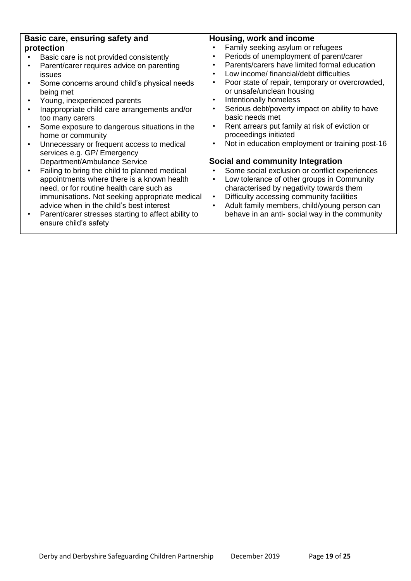#### **Basic care, ensuring safety and protection**

- Basic care is not provided consistently
- Parent/carer requires advice on parenting issues
- Some concerns around child's physical needs being met
- Young, inexperienced parents
- Inappropriate child care arrangements and/or too many carers
- Some exposure to dangerous situations in the home or community
- Unnecessary or frequent access to medical services e.g. GP/ Emergency Department/Ambulance Service
- Failing to bring the child to planned medical appointments where there is a known health need, or for routine health care such as immunisations. Not seeking appropriate medical advice when in the child's best interest
- Parent/carer stresses starting to affect ability to ensure child's safety

# **Housing, work and income**

- Family seeking asylum or refugees
- Periods of unemployment of parent/carer
- Parents/carers have limited formal education
- Low income/ financial/debt difficulties
- Poor state of repair, temporary or overcrowded, or unsafe/unclean housing
- Intentionally homeless
- Serious debt/poverty impact on ability to have basic needs met
- Rent arrears put family at risk of eviction or proceedings initiated
- Not in education employment or training post-16

# **Social and community Integration**

- Some social exclusion or conflict experiences
- Low tolerance of other groups in Community characterised by negativity towards them
- Difficulty accessing community facilities
- Adult family members, child/young person can behave in an anti- social way in the community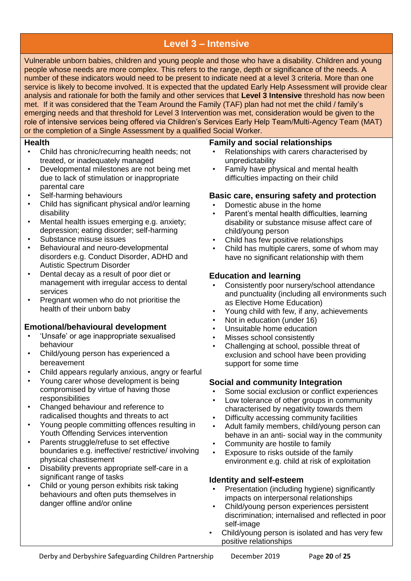# **Level 3 – Intensive**

Vulnerable unborn babies, children and young people and those who have a disability. Children and young people whose needs are more complex. This refers to the range, depth or significance of the needs. A number of these indicators would need to be present to indicate need at a level 3 criteria. More than one service is likely to become involved. It is expected that the updated Early Help Assessment will provide clear analysis and rationale for both the family and other services that **Level 3 Intensive** threshold has now been met. If it was considered that the Team Around the Family (TAF) plan had not met the child / family's emerging needs and that threshold for Level 3 Intervention was met, consideration would be given to the role of intensive services being offered via Children's Services Early Help Team/Multi-Agency Team (MAT) or the completion of a Single Assessment by a qualified Social Worker.

#### **Health**

- Child has chronic/recurring health needs; not treated, or inadequately managed
- Developmental milestones are not being met due to lack of stimulation or inappropriate parental care
- Self-harming behaviours
- Child has significant physical and/or learning disability
- Mental health issues emerging e.g. anxiety; depression; eating disorder; self-harming
- Substance misuse issues
- Behavioural and neuro-developmental disorders e.g. Conduct Disorder, ADHD and Autistic Spectrum Disorder
- Dental decay as a result of poor diet or management with irregular access to dental services
- Pregnant women who do not prioritise the health of their unborn baby

# **Emotional/behavioural development**

- 'Unsafe' or age inappropriate sexualised behaviour
- Child/young person has experienced a bereavement
- Child appears regularly anxious, angry or fearful
- Young carer whose development is being compromised by virtue of having those responsibilities
- Changed behaviour and reference to radicalised thoughts and threats to act
- Young people committing offences resulting in Youth Offending Services intervention
- Parents struggle/refuse to set effective boundaries e.g. ineffective/ restrictive/ involving physical chastisement
- Disability prevents appropriate self-care in a significant range of tasks
- Child or young person exhibits risk taking behaviours and often puts themselves in danger offline and/or online

# **Family and social relationships**

- Relationships with carers characterised by unpredictability
- Family have physical and mental health difficulties impacting on their child

# **Basic care, ensuring safety and protection**

- Domestic abuse in the home
- Parent's mental health difficulties, learning disability or substance misuse affect care of child/young person
- Child has few positive relationships
- Child has multiple carers, some of whom may have no significant relationship with them

# **Education and learning**

- Consistently poor nursery/school attendance and punctuality (including all environments such as Elective Home Education)
- Young child with few, if any, achievements
- Not in education (under 16)
- Unsuitable home education
- Misses school consistently
- Challenging at school, possible threat of exclusion and school have been providing support for some time

# **Social and community Integration**

- Some social exclusion or conflict experiences
- Low tolerance of other groups in community characterised by negativity towards them
- Difficulty accessing community facilities
- Adult family members, child/young person can behave in an anti- social way in the community
- Community are hostile to family
- Exposure to risks outside of the family environment e.g. child at risk of exploitation

# **Identity and self-esteem**

- Presentation (including hygiene) significantly impacts on interpersonal relationships
- Child/young person experiences persistent discrimination; internalised and reflected in poor self-image
- Child/young person is isolated and has very few positive relationships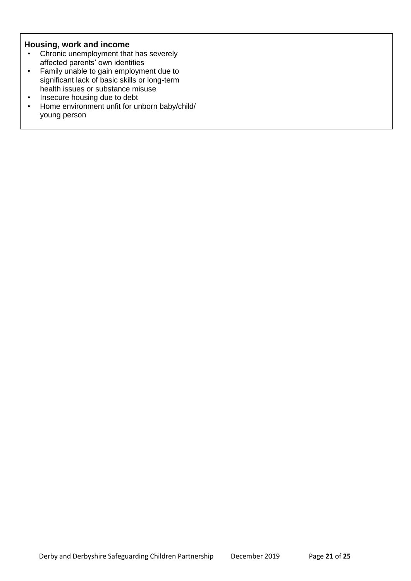#### **Housing, work and income**

- Chronic unemployment that has severely affected parents' own identities
- Family unable to gain employment due to significant lack of basic skills or long-term health issues or substance misuse
- Insecure housing due to debt
- Home environment unfit for unborn baby/child/ young person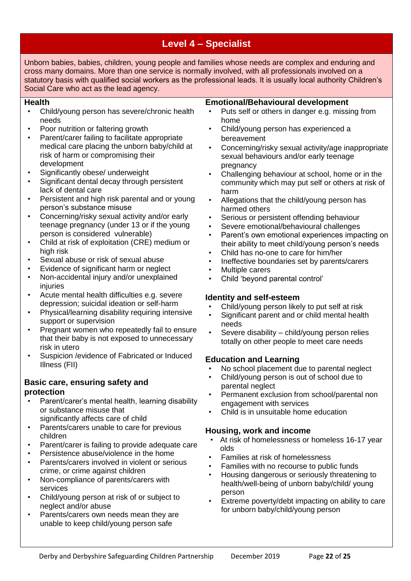# **Level 4 – Specialist**

Unborn babies, babies, children, young people and families whose needs are complex and enduring and cross many domains. More than one service is normally involved, with all professionals involved on a statutory basis with qualified social workers as the professional leads. It is usually local authority Children's Social Care who act as the lead agency.

#### **Health**

- Child/young person has severe/chronic health needs
- Poor nutrition or faltering growth
- Parent/carer failing to facilitate appropriate medical care placing the unborn baby/child at risk of harm or compromising their development
- Significantly obese/ underweight
- Significant dental decay through persistent lack of dental care
- Persistent and high risk parental and or young person's substance misuse
- Concerning/risky sexual activity and/or early teenage pregnancy (under 13 or if the young person is considered vulnerable)
- Child at risk of exploitation (CRE) medium or high risk
- Sexual abuse or risk of sexual abuse
- Evidence of significant harm or neglect
- Non-accidental injury and/or unexplained injuries
- Acute mental health difficulties e.g. severe depression; suicidal ideation or self-harm
- Physical/learning disability requiring intensive support or supervision
- Pregnant women who repeatedly fail to ensure that their baby is not exposed to unnecessary risk in utero
- Suspicion /evidence of Fabricated or Induced Illness (FII)

# **Basic care, ensuring safety and protection**

- Parent/carer's mental health, learning disability or substance misuse that significantly affects care of child
- Parents/carers unable to care for previous children
- Parent/carer is failing to provide adequate care
- Persistence abuse/violence in the home
- Parents/carers involved in violent or serious crime, or crime against children
- Non-compliance of parents/carers with services
- Child/young person at risk of or subject to neglect and/or abuse
- Parents/carers own needs mean they are unable to keep child/young person safe

# **Emotional/Behavioural development**

- Puts self or others in danger e.g. missing from home
- Child/young person has experienced a bereavement
- Concerning/risky sexual activity/age inappropriate sexual behaviours and/or early teenage pregnancy
- Challenging behaviour at school, home or in the community which may put self or others at risk of harm
- Allegations that the child/young person has harmed others
- Serious or persistent offending behaviour
- Severe emotional/behavioural challenges
- Parent's own emotional experiences impacting on their ability to meet child/young person's needs
- Child has no-one to care for him/her
- Ineffective boundaries set by parents/carers
- Multiple carers
- Child 'beyond parental control'

# **Identity and self-esteem**

- Child/young person likely to put self at risk
- Significant parent and or child mental health needs
- Severe disability child/young person relies totally on other people to meet care needs

# **Education and Learning**

- No school placement due to parental neglect
- Child/young person is out of school due to parental neglect
- Permanent exclusion from school/parental non engagement with services
- Child is in unsuitable home education

# **Housing, work and income**

- At risk of homelessness or homeless 16-17 year olds
- Families at risk of homelessness
- Families with no recourse to public funds
- Housing dangerous or seriously threatening to health/well-being of unborn baby/child/ young person
- Extreme poverty/debt impacting on ability to care for unborn baby/child/young person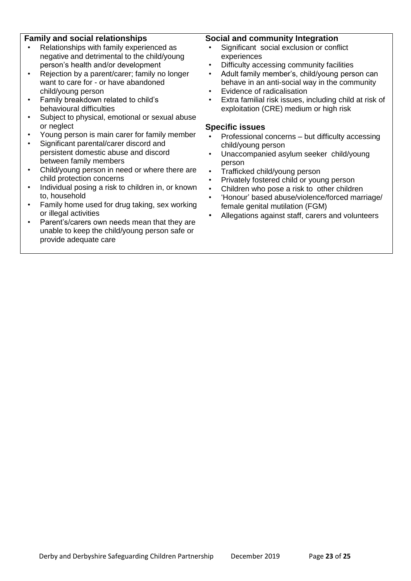#### **Family and social relationships**

- Relationships with family experienced as negative and detrimental to the child/young person's health and/or development
- Rejection by a parent/carer: family no longer want to care for - or have abandoned child/young person
- Family breakdown related to child's behavioural difficulties
- Subject to physical, emotional or sexual abuse or neglect
- Young person is main carer for family member
- Significant parental/carer discord and persistent domestic abuse and discord between family members
- Child/young person in need or where there are child protection concerns
- Individual posing a risk to children in, or known to, household
- Family home used for drug taking, sex working or illegal activities
- Parent's/carers own needs mean that they are unable to keep the child/young person safe or provide adequate care

#### **Social and community Integration**

- Significant social exclusion or conflict experiences
- Difficulty accessing community facilities
- Adult family member's, child/young person can behave in an anti-social way in the community
- Evidence of radicalisation
- Extra familial risk issues, including child at risk of exploitation (CRE) medium or high risk

#### **Specific issues**

- Professional concerns but difficulty accessing child/young person
- Unaccompanied asylum seeker child/young person
- Trafficked child/young person
- Privately fostered child or young person
- Children who pose a risk to other children
- 'Honour' based abuse/violence/forced marriage/ female genital mutilation (FGM)
- Allegations against staff, carers and volunteers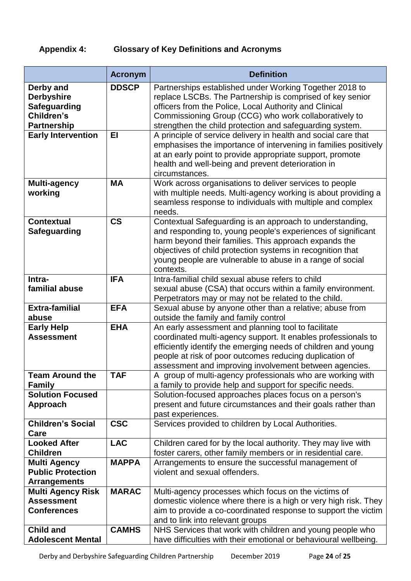# **Appendix 4: Glossary of Key Definitions and Acronyms**

|                                                                                                                        | <b>Acronym</b>           | <b>Definition</b>                                                                                                                                                                                                                                                                                                                                                     |
|------------------------------------------------------------------------------------------------------------------------|--------------------------|-----------------------------------------------------------------------------------------------------------------------------------------------------------------------------------------------------------------------------------------------------------------------------------------------------------------------------------------------------------------------|
| Derby and<br><b>Derbyshire</b><br><b>Safeguarding</b><br>Children's<br><b>Partnership</b><br><b>Early Intervention</b> | <b>DDSCP</b><br>EI       | Partnerships established under Working Together 2018 to<br>replace LSCBs. The Partnership is comprised of key senior<br>officers from the Police, Local Authority and Clinical<br>Commissioning Group (CCG) who work collaboratively to<br>strengthen the child protection and safeguarding system.<br>A principle of service delivery in health and social care that |
|                                                                                                                        |                          | emphasises the importance of intervening in families positively<br>at an early point to provide appropriate support, promote<br>health and well-being and prevent deterioration in<br>circumstances.                                                                                                                                                                  |
| <b>Multi-agency</b><br>working                                                                                         | <b>MA</b>                | Work across organisations to deliver services to people<br>with multiple needs. Multi-agency working is about providing a<br>seamless response to individuals with multiple and complex<br>needs.                                                                                                                                                                     |
| <b>Contextual</b><br><b>Safeguarding</b>                                                                               | $\mathsf{CS}\phantom{0}$ | Contextual Safeguarding is an approach to understanding,<br>and responding to, young people's experiences of significant<br>harm beyond their families. This approach expands the<br>objectives of child protection systems in recognition that<br>young people are vulnerable to abuse in a range of social<br>contexts.                                             |
| Intra-<br>familial abuse                                                                                               | <b>IFA</b>               | Intra-familial child sexual abuse refers to child<br>sexual abuse (CSA) that occurs within a family environment.<br>Perpetrators may or may not be related to the child.                                                                                                                                                                                              |
| <b>Extra-familial</b><br>abuse                                                                                         | <b>EFA</b>               | Sexual abuse by anyone other than a relative; abuse from<br>outside the family and family control                                                                                                                                                                                                                                                                     |
| <b>Early Help</b><br><b>Assessment</b>                                                                                 | <b>EHA</b>               | An early assessment and planning tool to facilitate<br>coordinated multi-agency support. It enables professionals to<br>efficiently identify the emerging needs of children and young<br>people at risk of poor outcomes reducing duplication of<br>assessment and improving involvement between agencies.                                                            |
| <b>Team Around the</b><br><b>Family</b>                                                                                | <b>TAF</b>               | A group of multi-agency professionals who are working with<br>a family to provide help and support for specific needs.                                                                                                                                                                                                                                                |
| <b>Solution Focused</b><br>Approach                                                                                    |                          | Solution-focused approaches places focus on a person's<br>present and future circumstances and their goals rather than<br>past experiences.                                                                                                                                                                                                                           |
| <b>Children's Social</b><br>Care                                                                                       | <b>CSC</b>               | Services provided to children by Local Authorities.                                                                                                                                                                                                                                                                                                                   |
| <b>Looked After</b><br><b>Children</b>                                                                                 | <b>LAC</b>               | Children cared for by the local authority. They may live with<br>foster carers, other family members or in residential care.                                                                                                                                                                                                                                          |
| <b>Multi Agency</b><br><b>Public Protection</b><br><b>Arrangements</b>                                                 | <b>MAPPA</b>             | Arrangements to ensure the successful management of<br>violent and sexual offenders.                                                                                                                                                                                                                                                                                  |
| <b>Multi Agency Risk</b><br><b>Assessment</b><br><b>Conferences</b>                                                    | <b>MARAC</b>             | Multi-agency processes which focus on the victims of<br>domestic violence where there is a high or very high risk. They<br>aim to provide a co-coordinated response to support the victim<br>and to link into relevant groups                                                                                                                                         |
| <b>Child and</b><br><b>Adolescent Mental</b>                                                                           | <b>CAMHS</b>             | NHS Services that work with children and young people who<br>have difficulties with their emotional or behavioural wellbeing.                                                                                                                                                                                                                                         |